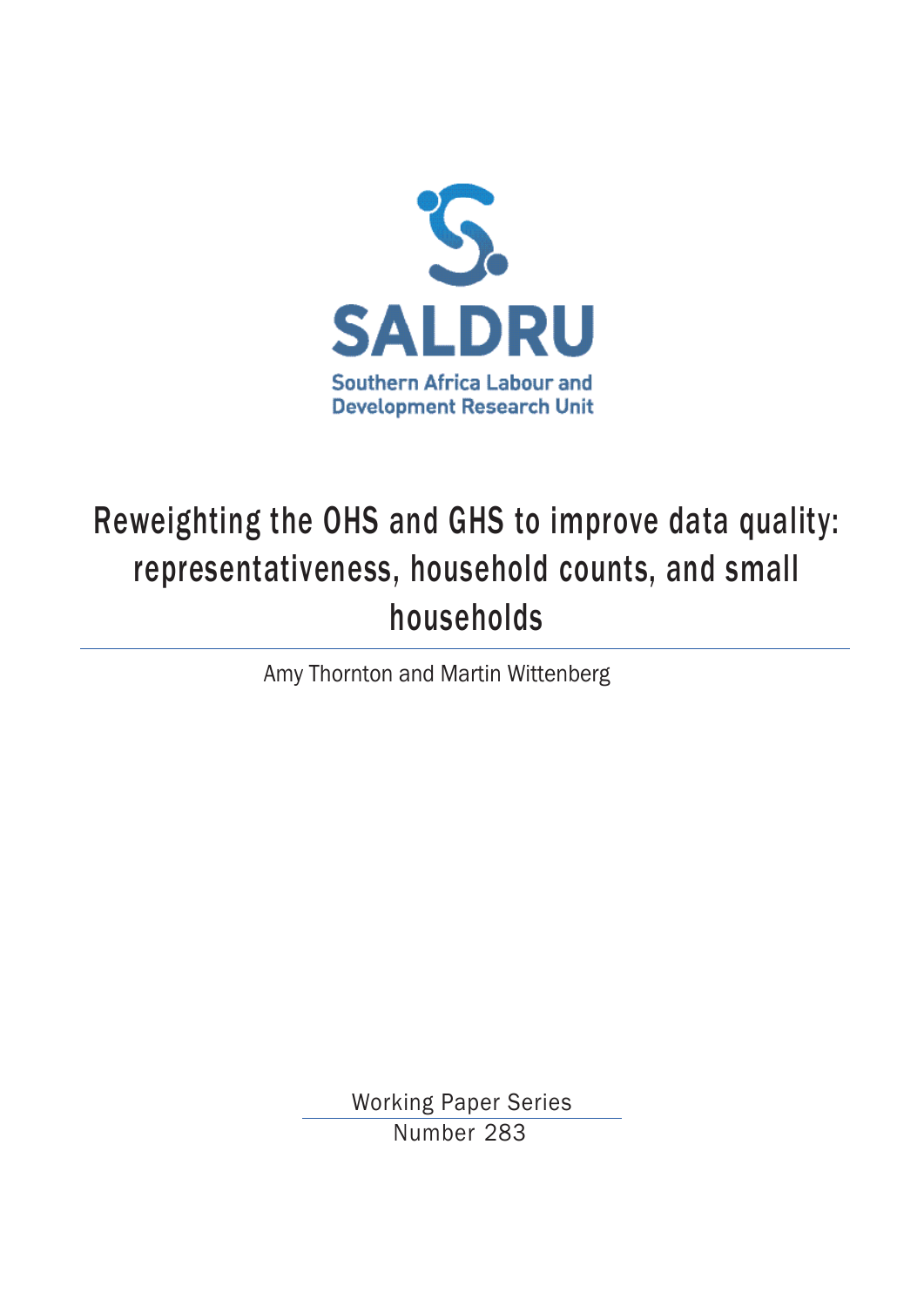

# Reweighting the OHS and GHS to improve data quality: representativeness, household counts, and small households

Amy Thornton and Martin Wittenberg

Working Paper Series Number 283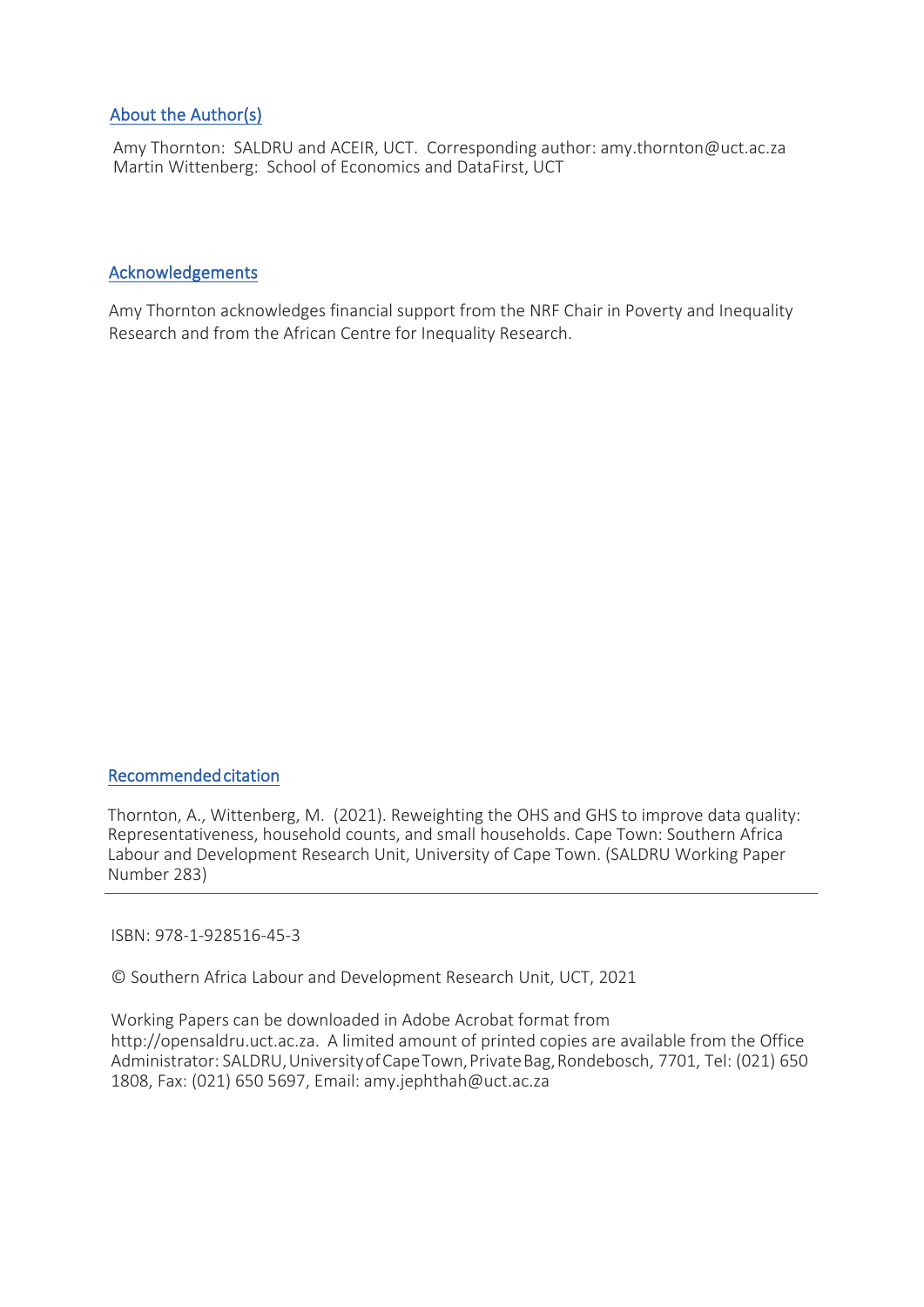## About the Author(s)

Amy Thornton: SALDRU and ACEIR, UCT. Corresponding author: amy.thornton@uct.ac.za Martin Wittenberg: School of Economics and DataFirst, UCT

### Acknowledgements

Amy Thornton acknowledges financial support from the NRF Chair in Poverty and Inequality Research and from the African Centre for Inequality Research.

#### Recommended citation

Thornton, A., Wittenberg, M. (2021). Reweighting the OHS and GHS to improve data quality: Representativeness, household counts, and small households. Cape Town: Southern Africa Labour and Development Research Unit, University of Cape Town. (SALDRU Working Paper Number 283)

ISBN: 978-1-928516-45-3

© Southern Africa Labour and Development Research Unit, UCT, 2021

Working Papers can be downloaded in Adobe Acrobat format from http://opensaldru.uct.ac.za. A limited amount of printed copies are available from the Office Administrator: SALDRU, University of Cape Town, Private Bag, Rondebosch, 7701, Tel: (021) 650 1808, Fax: (021) 650 5697, Email: amy.jephthah@uct.ac.za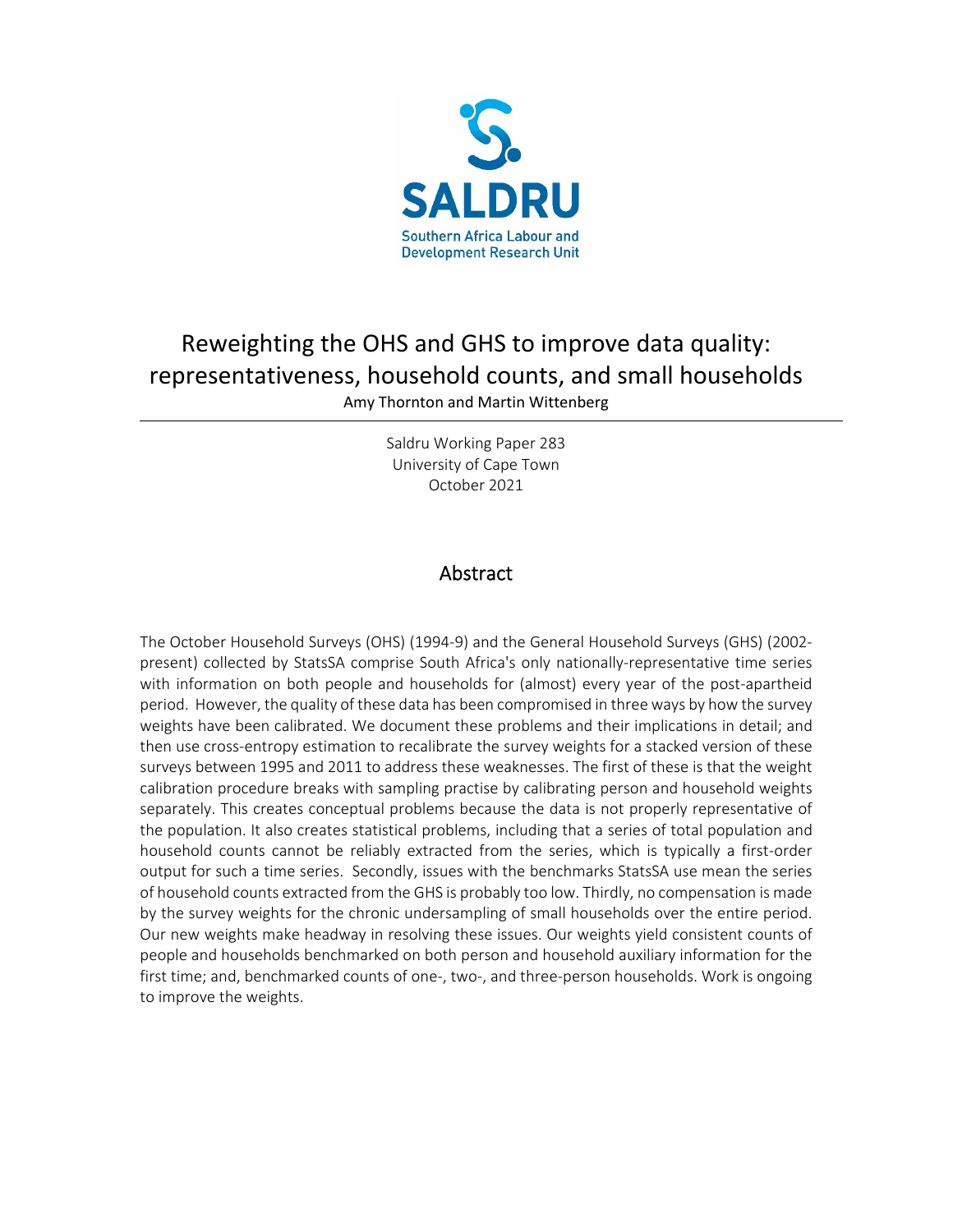

## Reweighting the OHS and GHS to improve data quality: representativeness, household counts, and small households

Amy Thornton and Martin Wittenberg

Saldru Working Paper 283 University of Cape Town October 2021

## Abstract

The October Household Surveys (OHS) (1994-9) and the General Household Surveys (GHS) (2002 present) collected by StatsSA comprise South Africa's only nationally-representative time series with information on both people and households for (almost) every year of the post-apartheid period. However, the quality of these data has been compromised in three ways by how the survey weights have been calibrated. We document these problems and their implications in detail; and then use cross-entropy estimation to recalibrate the survey weights for a stacked version of these surveys between 1995 and 2011 to address these weaknesses. The first of these is that the weight calibration procedure breaks with sampling practise by calibrating person and household weights separately. This creates conceptual problems because the data is not properly representative of the population. It also creates statistical problems, including that a series of total population and household counts cannot be reliably extracted from the series, which is typically a first-order output for such a time series. Secondly, issues with the benchmarks StatsSA use mean the series of household counts extracted from the GHS is probably too low. Thirdly, no compensation is made by the survey weights for the chronic undersampling of small households over the entire period. Our new weights make headway in resolving these issues. Our weights yield consistent counts of people and households benchmarked on both person and household auxiliary information for the first time; and, benchmarked counts of one-, two-, and three-person households. Work is ongoing to improve the weights.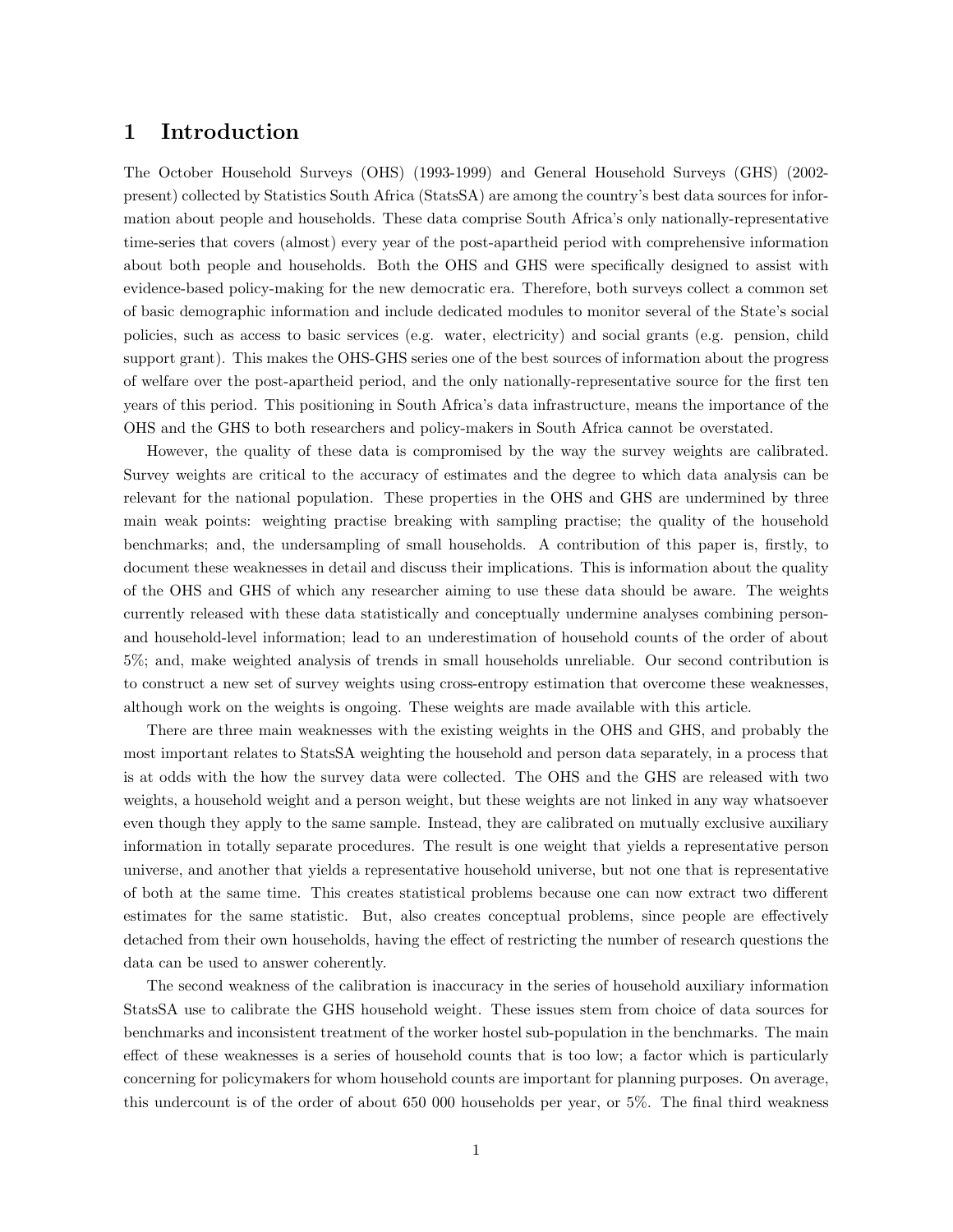## 1 Introduction

The October Household Surveys (OHS) (1993-1999) and General Household Surveys (GHS) (2002 present) collected by Statistics South Africa (StatsSA) are among the country's best data sources for information about people and households. These data comprise South Africa's only nationally-representative time-series that covers (almost) every year of the post-apartheid period with comprehensive information about both people and households. Both the OHS and GHS were specifically designed to assist with evidence-based policy-making for the new democratic era. Therefore, both surveys collect a common set of basic demographic information and include dedicated modules to monitor several of the State's social policies, such as access to basic services (e.g. water, electricity) and social grants (e.g. pension, child support grant). This makes the OHS-GHS series one of the best sources of information about the progress of welfare over the post-apartheid period, and the only nationally-representative source for the first ten years of this period. This positioning in South Africa's data infrastructure, means the importance of the OHS and the GHS to both researchers and policy-makers in South Africa cannot be overstated.

However, the quality of these data is compromised by the way the survey weights are calibrated. Survey weights are critical to the accuracy of estimates and the degree to which data analysis can be relevant for the national population. These properties in the OHS and GHS are undermined by three main weak points: weighting practise breaking with sampling practise; the quality of the household benchmarks; and, the undersampling of small households. A contribution of this paper is, firstly, to document these weaknesses in detail and discuss their implications. This is information about the quality of the OHS and GHS of which any researcher aiming to use these data should be aware. The weights currently released with these data statistically and conceptually undermine analyses combining personand household-level information; lead to an underestimation of household counts of the order of about 5%; and, make weighted analysis of trends in small households unreliable. Our second contribution is to construct a new set of survey weights using cross-entropy estimation that overcome these weaknesses, although work on the weights is ongoing. These weights are made available with this article.

There are three main weaknesses with the existing weights in the OHS and GHS, and probably the most important relates to StatsSA weighting the household and person data separately, in a process that is at odds with the how the survey data were collected. The OHS and the GHS are released with two weights, a household weight and a person weight, but these weights are not linked in any way whatsoever even though they apply to the same sample. Instead, they are calibrated on mutually exclusive auxiliary information in totally separate procedures. The result is one weight that yields a representative person universe, and another that yields a representative household universe, but not one that is representative of both at the same time. This creates statistical problems because one can now extract two different estimates for the same statistic. But, also creates conceptual problems, since people are effectively detached from their own households, having the effect of restricting the number of research questions the data can be used to answer coherently.

The second weakness of the calibration is inaccuracy in the series of household auxiliary information StatsSA use to calibrate the GHS household weight. These issues stem from choice of data sources for benchmarks and inconsistent treatment of the worker hostel sub-population in the benchmarks. The main effect of these weaknesses is a series of household counts that is too low; a factor which is particularly concerning for policymakers for whom household counts are important for planning purposes. On average, this undercount is of the order of about 650 000 households per year, or 5%. The final third weakness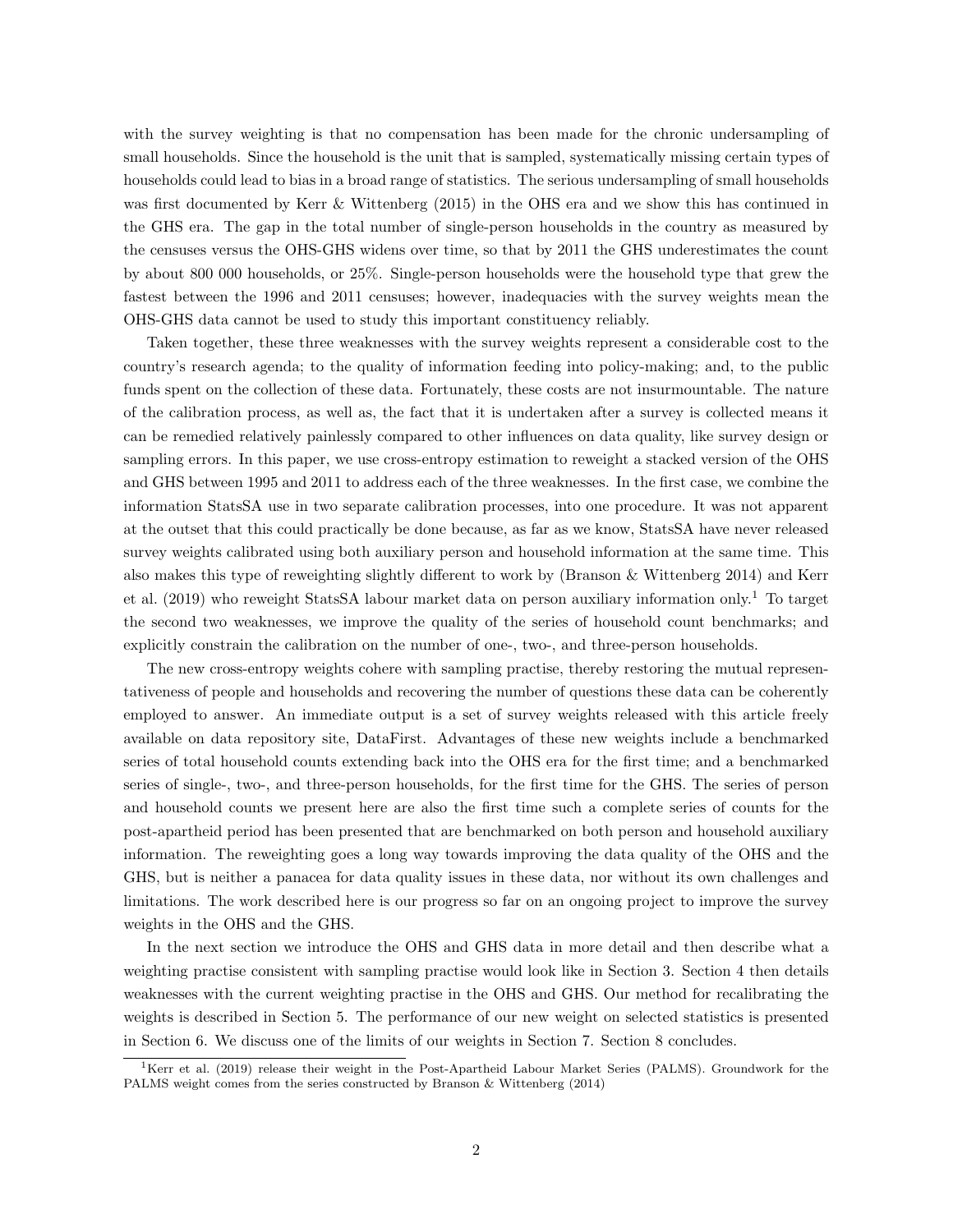with the survey weighting is that no compensation has been made for the chronic undersampling of small households. Since the household is the unit that is sampled, systematically missing certain types of households could lead to bias in a broad range of statistics. The serious undersampling of small households was first documented by Kerr & Wittenberg (2015) in the OHS era and we show this has continued in the GHS era. The gap in the total number of single-person households in the country as measured by the censuses versus the OHS-GHS widens over time, so that by 2011 the GHS underestimates the count by about 800 000 households, or 25%. Single-person households were the household type that grew the fastest between the 1996 and 2011 censuses; however, inadequacies with the survey weights mean the OHS-GHS data cannot be used to study this important constituency reliably.

Taken together, these three weaknesses with the survey weights represent a considerable cost to the country's research agenda; to the quality of information feeding into policy-making; and, to the public funds spent on the collection of these data. Fortunately, these costs are not insurmountable. The nature of the calibration process, as well as, the fact that it is undertaken after a survey is collected means it can be remedied relatively painlessly compared to other influences on data quality, like survey design or sampling errors. In this paper, we use cross-entropy estimation to reweight a stacked version of the OHS and GHS between 1995 and 2011 to address each of the three weaknesses. In the first case, we combine the information StatsSA use in two separate calibration processes, into one procedure. It was not apparent at the outset that this could practically be done because, as far as we know, StatsSA have never released survey weights calibrated using both auxiliary person and household information at the same time. This also makes this type of reweighting slightly different to work by (Branson & Wittenberg 2014) and Kerr et al. (2019) who reweight StatsSA labour market data on person auxiliary information only.<sup>1</sup> To target the second two weaknesses, we improve the quality of the series of household count benchmarks; and explicitly constrain the calibration on the number of one-, two-, and three-person households.

The new cross-entropy weights cohere with sampling practise, thereby restoring the mutual representativeness of people and households and recovering the number of questions these data can be coherently employed to answer. An immediate output is a set of survey weights released with this article freely available on data repository site, DataFirst. Advantages of these new weights include a benchmarked series of total household counts extending back into the OHS era for the first time; and a benchmarked series of single-, two-, and three-person households, for the first time for the GHS. The series of person and household counts we present here are also the first time such a complete series of counts for the post-apartheid period has been presented that are benchmarked on both person and household auxiliary information. The reweighting goes a long way towards improving the data quality of the OHS and the GHS, but is neither a panacea for data quality issues in these data, nor without its own challenges and limitations. The work described here is our progress so far on an ongoing project to improve the survey weights in the OHS and the GHS.

In the next section we introduce the OHS and GHS data in more detail and then describe what a weighting practise consistent with sampling practise would look like in Section 3. Section 4 then details weaknesses with the current weighting practise in the OHS and GHS. Our method for recalibrating the weights is described in Section 5. The performance of our new weight on selected statistics is presented in Section 6. We discuss one of the limits of our weights in Section 7. Section 8 concludes.

<sup>&</sup>lt;sup>1</sup>Kerr et al. (2019) release their weight in the Post-Apartheid Labour Market Series (PALMS). Groundwork for the PALMS weight comes from the series constructed by Branson & Wittenberg (2014)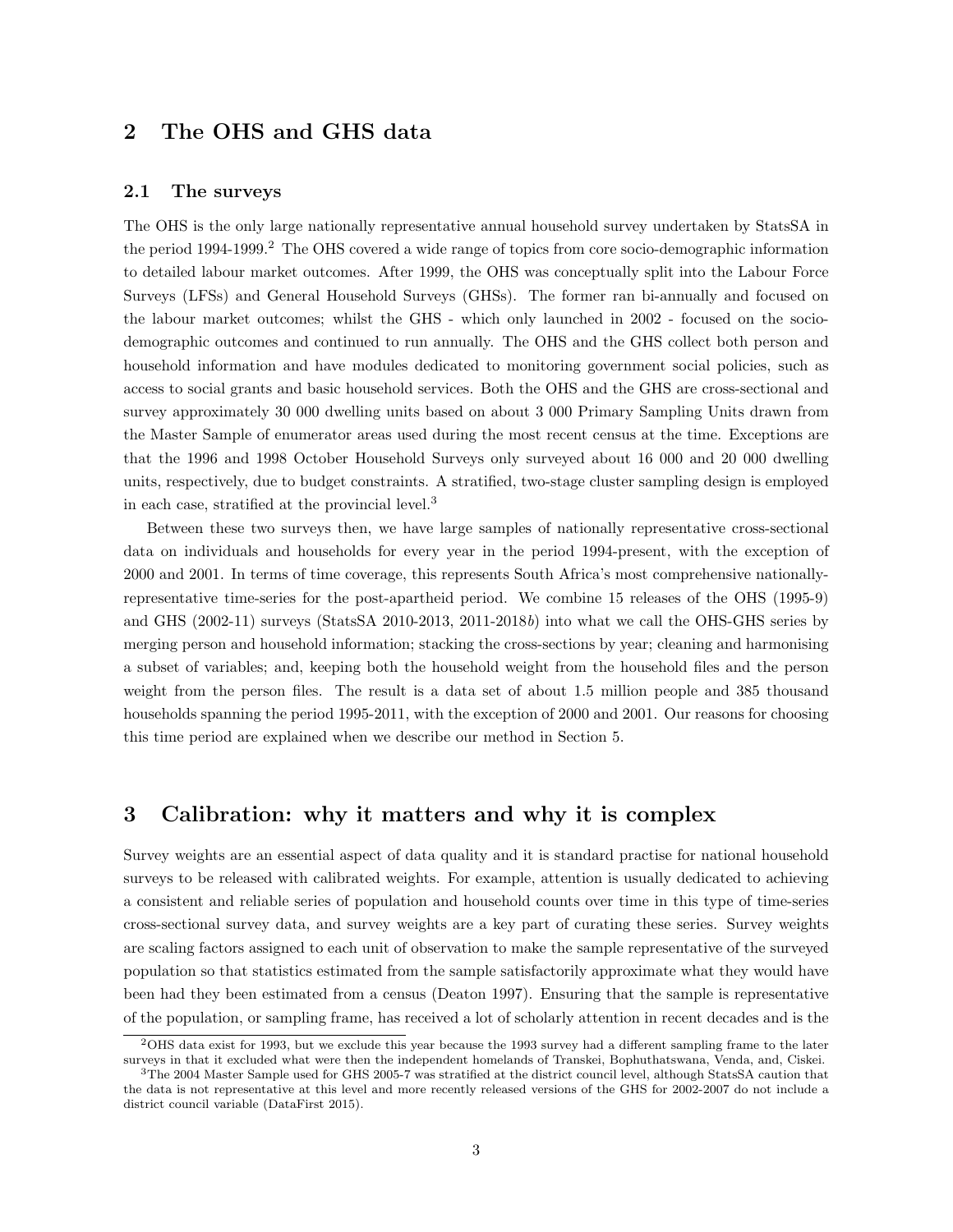## 2 The OHS and GHS data

#### 2.1 The surveys

The OHS is the only large nationally representative annual household survey undertaken by StatsSA in the period 1994-1999.<sup>2</sup> The OHS covered a wide range of topics from core socio-demographic information to detailed labour market outcomes. After 1999, the OHS was conceptually split into the Labour Force Surveys (LFSs) and General Household Surveys (GHSs). The former ran bi-annually and focused on the labour market outcomes; whilst the GHS - which only launched in 2002 - focused on the sociodemographic outcomes and continued to run annually. The OHS and the GHS collect both person and household information and have modules dedicated to monitoring government social policies, such as access to social grants and basic household services. Both the OHS and the GHS are cross-sectional and survey approximately 30 000 dwelling units based on about 3 000 Primary Sampling Units drawn from the Master Sample of enumerator areas used during the most recent census at the time. Exceptions are that the 1996 and 1998 October Household Surveys only surveyed about 16 000 and 20 000 dwelling units, respectively, due to budget constraints. A stratified, two-stage cluster sampling design is employed in each case, stratified at the provincial level.<sup>3</sup>

Between these two surveys then, we have large samples of nationally representative cross-sectional data on individuals and households for every year in the period 1994-present, with the exception of 2000 and 2001. In terms of time coverage, this represents South Africa's most comprehensive nationallyrepresentative time-series for the post-apartheid period. We combine 15 releases of the OHS (1995-9) and GHS (2002-11) surveys (StatsSA 2010-2013, 2011-2018b) into what we call the OHS-GHS series by merging person and household information; stacking the cross-sections by year; cleaning and harmonising a subset of variables; and, keeping both the household weight from the household files and the person weight from the person files. The result is a data set of about 1.5 million people and 385 thousand households spanning the period 1995-2011, with the exception of 2000 and 2001. Our reasons for choosing this time period are explained when we describe our method in Section 5.

## 3 Calibration: why it matters and why it is complex

Survey weights are an essential aspect of data quality and it is standard practise for national household surveys to be released with calibrated weights. For example, attention is usually dedicated to achieving a consistent and reliable series of population and household counts over time in this type of time-series cross-sectional survey data, and survey weights are a key part of curating these series. Survey weights are scaling factors assigned to each unit of observation to make the sample representative of the surveyed population so that statistics estimated from the sample satisfactorily approximate what they would have been had they been estimated from a census (Deaton 1997). Ensuring that the sample is representative of the population, or sampling frame, has received a lot of scholarly attention in recent decades and is the

<sup>2</sup>OHS data exist for 1993, but we exclude this year because the 1993 survey had a different sampling frame to the later surveys in that it excluded what were then the independent homelands of Transkei, Bophuthatswana, Venda, and, Ciskei.

<sup>3</sup>The 2004 Master Sample used for GHS 2005-7 was stratified at the district council level, although StatsSA caution that the data is not representative at this level and more recently released versions of the GHS for 2002-2007 do not include a district council variable (DataFirst 2015).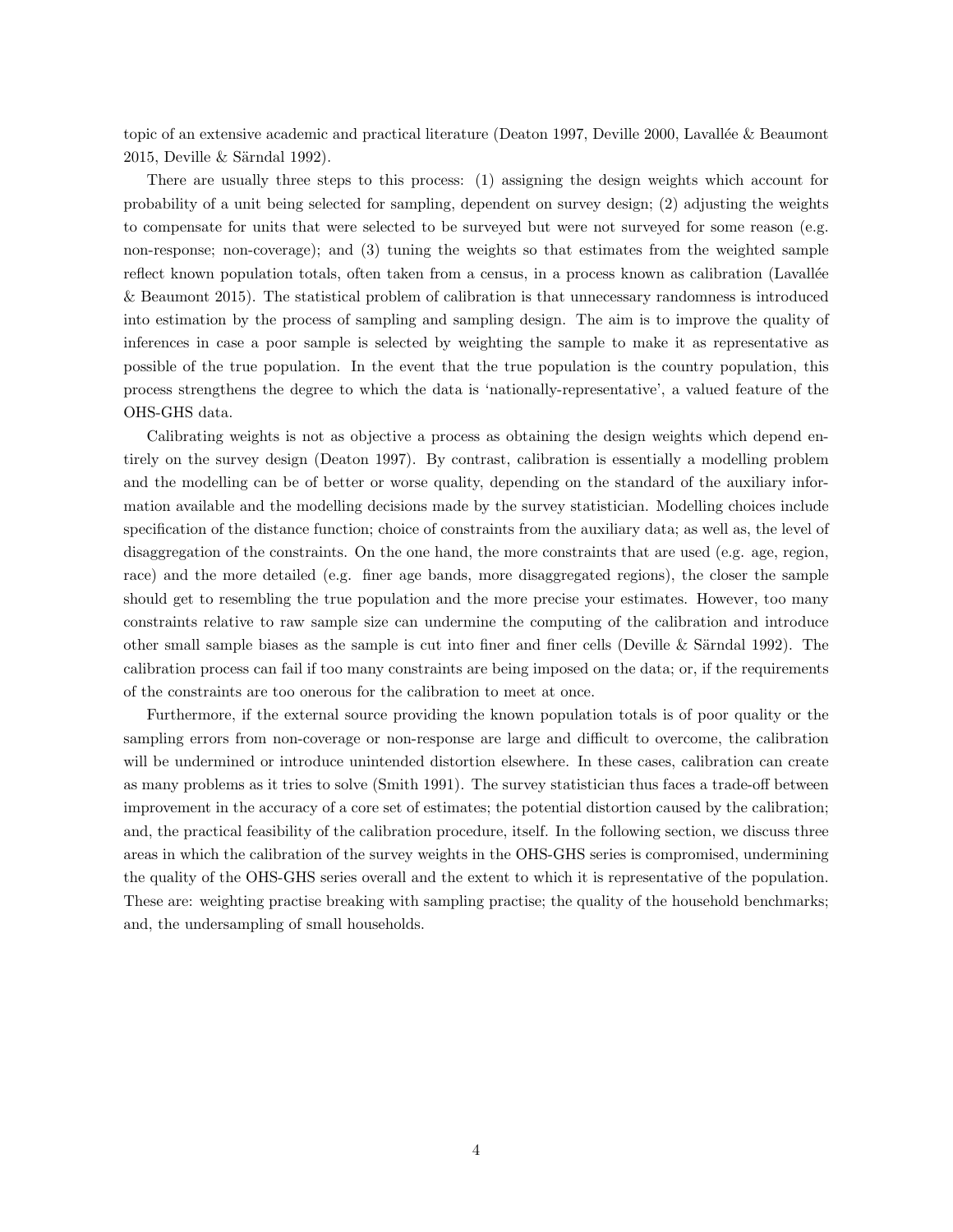topic of an extensive academic and practical literature (Deaton 1997, Deville 2000, Lavallée & Beaumont  $2015$ , Deville & Särndal 1992).

There are usually three steps to this process: (1) assigning the design weights which account for probability of a unit being selected for sampling, dependent on survey design; (2) adjusting the weights to compensate for units that were selected to be surveyed but were not surveyed for some reason (e.g. non-response; non-coverage); and (3) tuning the weights so that estimates from the weighted sample reflect known population totals, often taken from a census, in a process known as calibration (Lavallée & Beaumont 2015). The statistical problem of calibration is that unnecessary randomness is introduced into estimation by the process of sampling and sampling design. The aim is to improve the quality of inferences in case a poor sample is selected by weighting the sample to make it as representative as possible of the true population. In the event that the true population is the country population, this process strengthens the degree to which the data is 'nationally-representative', a valued feature of the OHS-GHS data.

Calibrating weights is not as objective a process as obtaining the design weights which depend entirely on the survey design (Deaton 1997). By contrast, calibration is essentially a modelling problem and the modelling can be of better or worse quality, depending on the standard of the auxiliary information available and the modelling decisions made by the survey statistician. Modelling choices include specification of the distance function; choice of constraints from the auxiliary data; as well as, the level of disaggregation of the constraints. On the one hand, the more constraints that are used (e.g. age, region, race) and the more detailed (e.g. finer age bands, more disaggregated regions), the closer the sample should get to resembling the true population and the more precise your estimates. However, too many constraints relative to raw sample size can undermine the computing of the calibration and introduce other small sample biases as the sample is cut into finer and finer cells (Deville  $&$  Särndal 1992). The calibration process can fail if too many constraints are being imposed on the data; or, if the requirements of the constraints are too onerous for the calibration to meet at once.

Furthermore, if the external source providing the known population totals is of poor quality or the sampling errors from non-coverage or non-response are large and difficult to overcome, the calibration will be undermined or introduce unintended distortion elsewhere. In these cases, calibration can create as many problems as it tries to solve (Smith 1991). The survey statistician thus faces a trade-off between improvement in the accuracy of a core set of estimates; the potential distortion caused by the calibration; and, the practical feasibility of the calibration procedure, itself. In the following section, we discuss three areas in which the calibration of the survey weights in the OHS-GHS series is compromised, undermining the quality of the OHS-GHS series overall and the extent to which it is representative of the population. These are: weighting practise breaking with sampling practise; the quality of the household benchmarks; and, the undersampling of small households.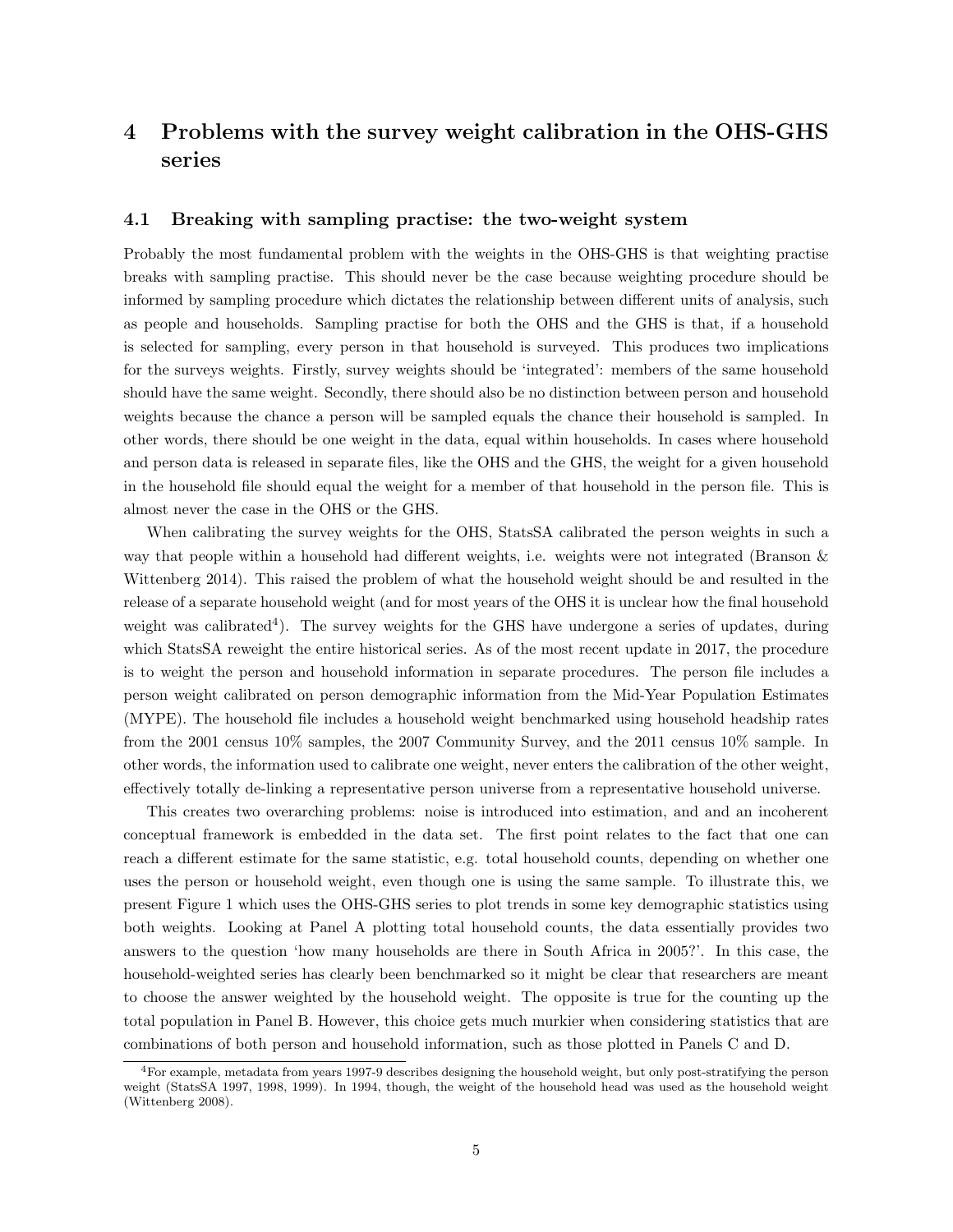## 4 Problems with the survey weight calibration in the OHS-GHS series

#### 4.1 Breaking with sampling practise: the two-weight system

Probably the most fundamental problem with the weights in the OHS-GHS is that weighting practise breaks with sampling practise. This should never be the case because weighting procedure should be informed by sampling procedure which dictates the relationship between different units of analysis, such as people and households. Sampling practise for both the OHS and the GHS is that, if a household is selected for sampling, every person in that household is surveyed. This produces two implications for the surveys weights. Firstly, survey weights should be 'integrated': members of the same household should have the same weight. Secondly, there should also be no distinction between person and household weights because the chance a person will be sampled equals the chance their household is sampled. In other words, there should be one weight in the data, equal within households. In cases where household and person data is released in separate files, like the OHS and the GHS, the weight for a given household in the household file should equal the weight for a member of that household in the person file. This is almost never the case in the OHS or the GHS.

When calibrating the survey weights for the OHS, StatsSA calibrated the person weights in such a way that people within a household had different weights, i.e. weights were not integrated (Branson & Wittenberg 2014). This raised the problem of what the household weight should be and resulted in the release of a separate household weight (and for most years of the OHS it is unclear how the final household weight was calibrated<sup>4</sup>). The survey weights for the GHS have undergone a series of updates, during which StatsSA reweight the entire historical series. As of the most recent update in 2017, the procedure is to weight the person and household information in separate procedures. The person file includes a person weight calibrated on person demographic information from the Mid-Year Population Estimates (MYPE). The household file includes a household weight benchmarked using household headship rates from the 2001 census 10% samples, the 2007 Community Survey, and the 2011 census 10% sample. In other words, the information used to calibrate one weight, never enters the calibration of the other weight, effectively totally de-linking a representative person universe from a representative household universe.

This creates two overarching problems: noise is introduced into estimation, and and an incoherent conceptual framework is embedded in the data set. The first point relates to the fact that one can reach a different estimate for the same statistic, e.g. total household counts, depending on whether one uses the person or household weight, even though one is using the same sample. To illustrate this, we present Figure 1 which uses the OHS-GHS series to plot trends in some key demographic statistics using both weights. Looking at Panel A plotting total household counts, the data essentially provides two answers to the question 'how many households are there in South Africa in 2005?'. In this case, the household-weighted series has clearly been benchmarked so it might be clear that researchers are meant to choose the answer weighted by the household weight. The opposite is true for the counting up the total population in Panel B. However, this choice gets much murkier when considering statistics that are combinations of both person and household information, such as those plotted in Panels C and D.

<sup>4</sup>For example, metadata from years 1997-9 describes designing the household weight, but only post-stratifying the person weight (StatsSA 1997, 1998, 1999). In 1994, though, the weight of the household head was used as the household weight (Wittenberg 2008).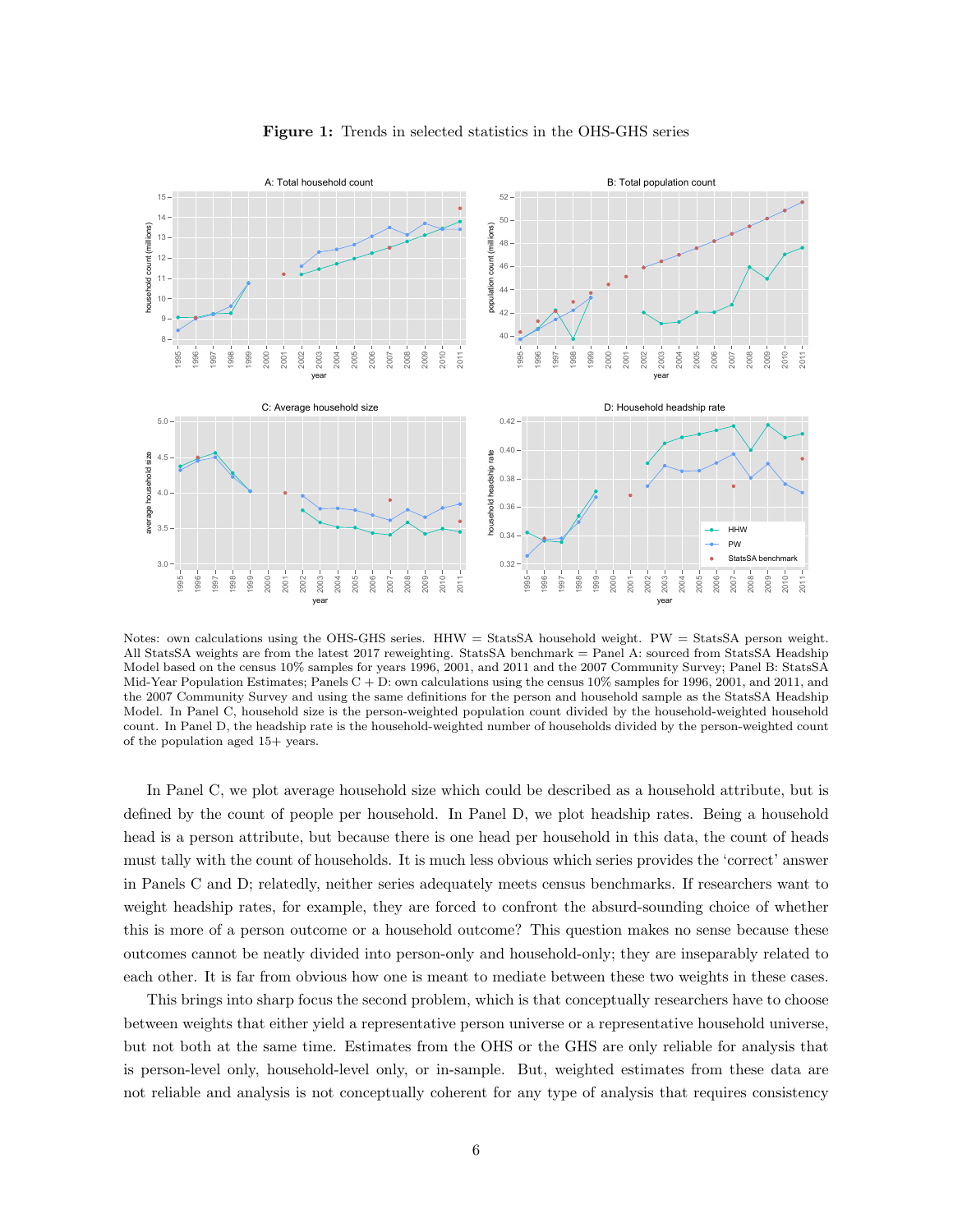

Figure 1: Trends in selected statistics in the OHS-GHS series

Notes: own calculations using the OHS-GHS series. HHW = StatsSA household weight. PW = StatsSA person weight. All StatsSA weights are from the latest 2017 reweighting. StatsSA benchmark = Panel A: sourced from StatsSA Headship Model based on the census 10% samples for years 1996, 2001, and 2011 and the 2007 Community Survey; Panel B: StatsSA Mid-Year Population Estimates; Panels  $C + D$ : own calculations using the census 10% samples for 1996, 2001, and 2011, and the 2007 Community Survey and using the same definitions for the person and household sample as the StatsSA Headship Model. In Panel C, household size is the person-weighted population count divided by the household-weighted household count. In Panel D, the headship rate is the household-weighted number of households divided by the person-weighted count of the population aged 15+ years.

In Panel C, we plot average household size which could be described as a household attribute, but is defined by the count of people per household. In Panel D, we plot headship rates. Being a household head is a person attribute, but because there is one head per household in this data, the count of heads must tally with the count of households. It is much less obvious which series provides the 'correct' answer in Panels C and D; relatedly, neither series adequately meets census benchmarks. If researchers want to weight headship rates, for example, they are forced to confront the absurd-sounding choice of whether this is more of a person outcome or a household outcome? This question makes no sense because these outcomes cannot be neatly divided into person-only and household-only; they are inseparably related to each other. It is far from obvious how one is meant to mediate between these two weights in these cases.

This brings into sharp focus the second problem, which is that conceptually researchers have to choose between weights that either yield a representative person universe or a representative household universe, but not both at the same time. Estimates from the OHS or the GHS are only reliable for analysis that is person-level only, household-level only, or in-sample. But, weighted estimates from these data are not reliable and analysis is not conceptually coherent for any type of analysis that requires consistency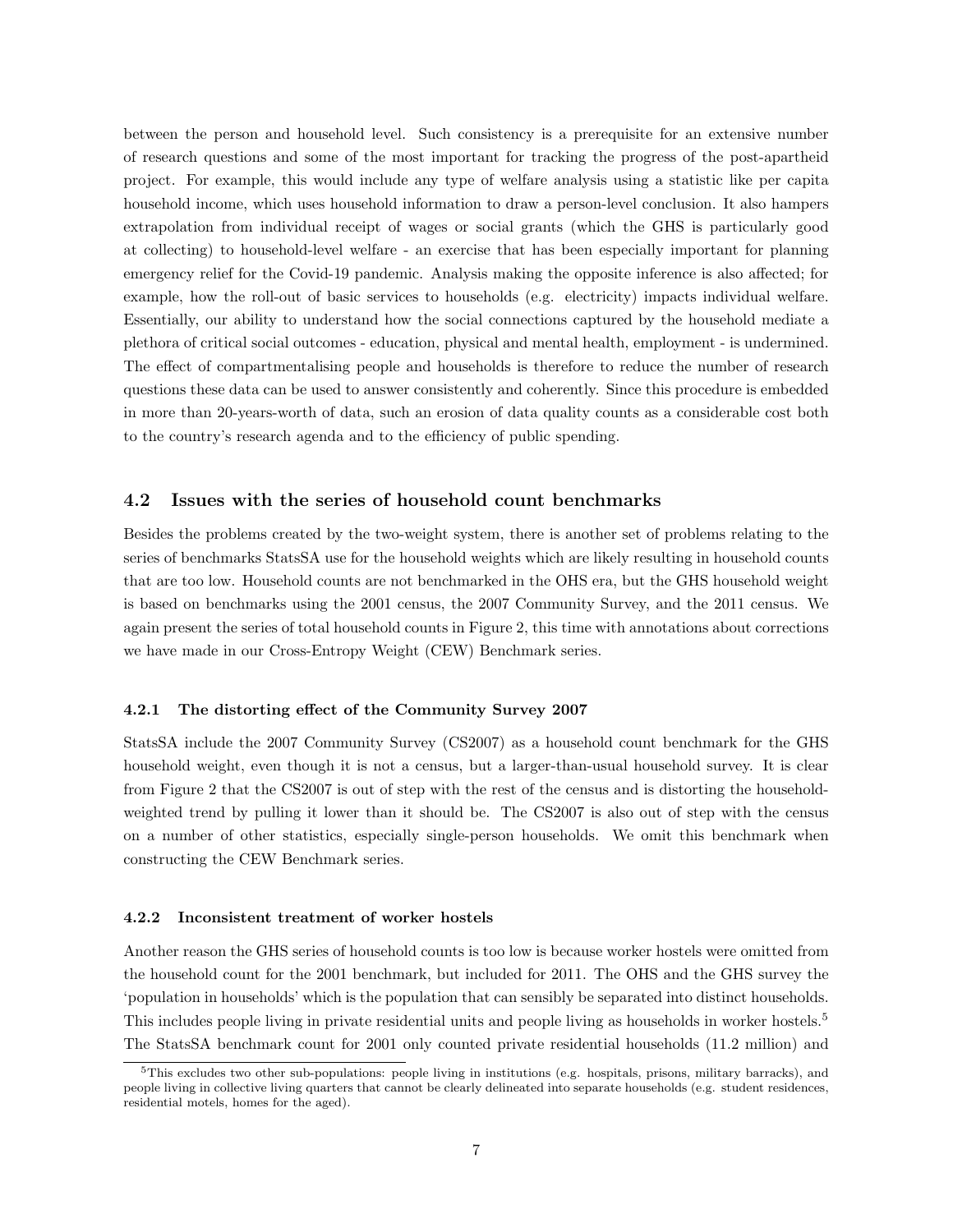between the person and household level. Such consistency is a prerequisite for an extensive number of research questions and some of the most important for tracking the progress of the post-apartheid project. For example, this would include any type of welfare analysis using a statistic like per capita household income, which uses household information to draw a person-level conclusion. It also hampers extrapolation from individual receipt of wages or social grants (which the GHS is particularly good at collecting) to household-level welfare - an exercise that has been especially important for planning emergency relief for the Covid-19 pandemic. Analysis making the opposite inference is also affected; for example, how the roll-out of basic services to households (e.g. electricity) impacts individual welfare. Essentially, our ability to understand how the social connections captured by the household mediate a plethora of critical social outcomes - education, physical and mental health, employment - is undermined. The effect of compartmentalising people and households is therefore to reduce the number of research questions these data can be used to answer consistently and coherently. Since this procedure is embedded in more than 20-years-worth of data, such an erosion of data quality counts as a considerable cost both to the country's research agenda and to the efficiency of public spending.

#### 4.2 Issues with the series of household count benchmarks

Besides the problems created by the two-weight system, there is another set of problems relating to the series of benchmarks StatsSA use for the household weights which are likely resulting in household counts that are too low. Household counts are not benchmarked in the OHS era, but the GHS household weight is based on benchmarks using the 2001 census, the 2007 Community Survey, and the 2011 census. We again present the series of total household counts in Figure 2, this time with annotations about corrections we have made in our Cross-Entropy Weight (CEW) Benchmark series.

#### 4.2.1 The distorting effect of the Community Survey 2007

StatsSA include the 2007 Community Survey (CS2007) as a household count benchmark for the GHS household weight, even though it is not a census, but a larger-than-usual household survey. It is clear from Figure 2 that the CS2007 is out of step with the rest of the census and is distorting the householdweighted trend by pulling it lower than it should be. The CS2007 is also out of step with the census on a number of other statistics, especially single-person households. We omit this benchmark when constructing the CEW Benchmark series.

#### 4.2.2 Inconsistent treatment of worker hostels

Another reason the GHS series of household counts is too low is because worker hostels were omitted from the household count for the 2001 benchmark, but included for 2011. The OHS and the GHS survey the 'population in households' which is the population that can sensibly be separated into distinct households. This includes people living in private residential units and people living as households in worker hostels.<sup>5</sup> The StatsSA benchmark count for 2001 only counted private residential households (11.2 million) and

 $5$ This excludes two other sub-populations: people living in institutions (e.g. hospitals, prisons, military barracks), and people living in collective living quarters that cannot be clearly delineated into separate households (e.g. student residences, residential motels, homes for the aged).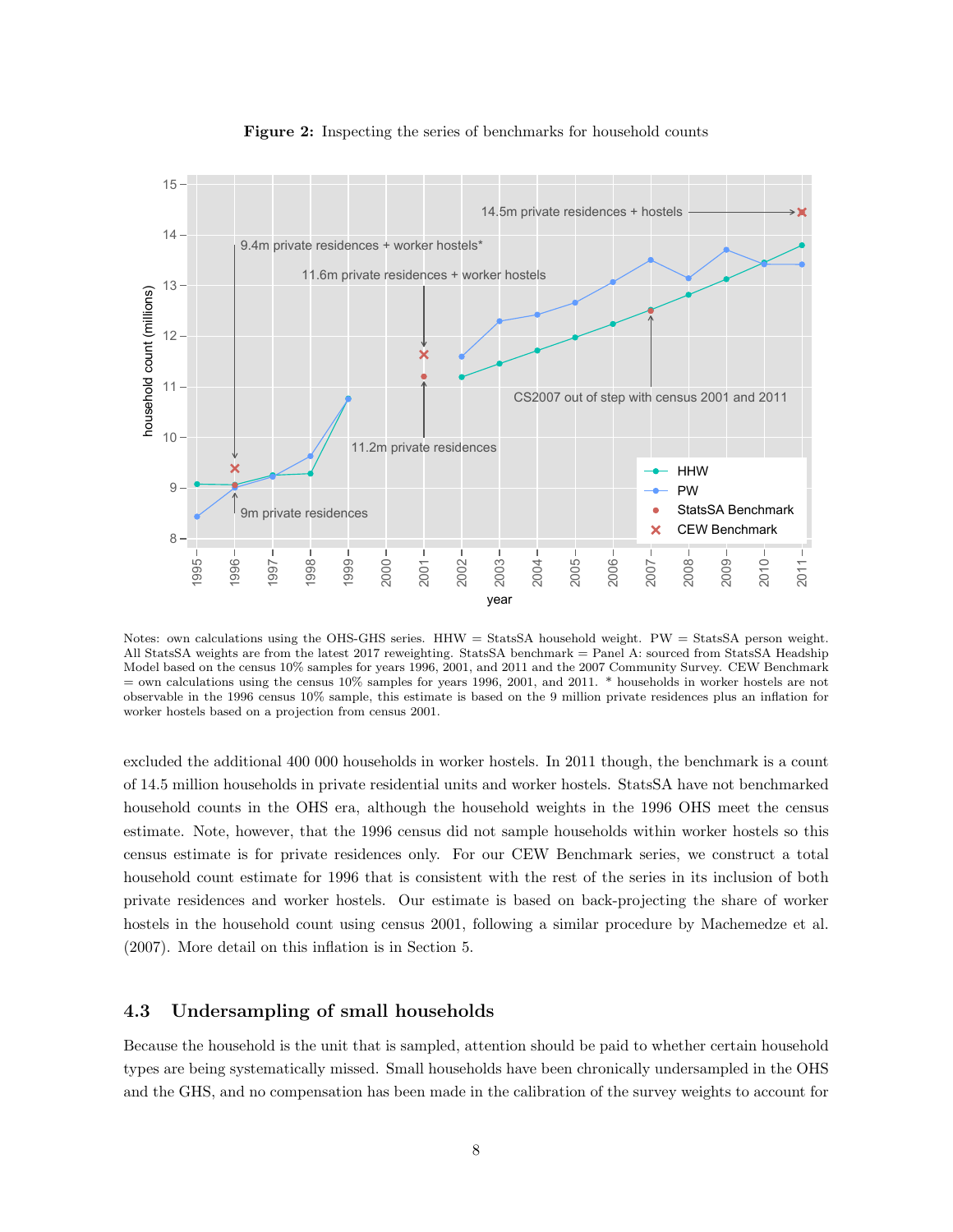

Figure 2: Inspecting the series of benchmarks for household counts

Notes: own calculations using the OHS-GHS series. HHW = StatsSA household weight. PW = StatsSA person weight. All StatsSA weights are from the latest 2017 reweighting. StatsSA benchmark = Panel A: sourced from StatsSA Headship Model based on the census 10% samples for years 1996, 2001, and 2011 and the 2007 Community Survey. CEW Benchmark  $=$  own calculations using the census 10% samples for years 1996, 2001, and 2011.  $*$  households in worker hostels are not observable in the 1996 census 10% sample, this estimate is based on the 9 million private residences plus an inflation for worker hostels based on a projection from census 2001.

excluded the additional 400 000 households in worker hostels. In 2011 though, the benchmark is a count of 14.5 million households in private residential units and worker hostels. StatsSA have not benchmarked household counts in the OHS era, although the household weights in the 1996 OHS meet the census estimate. Note, however, that the 1996 census did not sample households within worker hostels so this census estimate is for private residences only. For our CEW Benchmark series, we construct a total household count estimate for 1996 that is consistent with the rest of the series in its inclusion of both private residences and worker hostels. Our estimate is based on back-projecting the share of worker hostels in the household count using census 2001, following a similar procedure by Machemedze et al. (2007). More detail on this inflation is in Section 5.

#### 4.3 Undersampling of small households

Because the household is the unit that is sampled, attention should be paid to whether certain household types are being systematically missed. Small households have been chronically undersampled in the OHS and the GHS, and no compensation has been made in the calibration of the survey weights to account for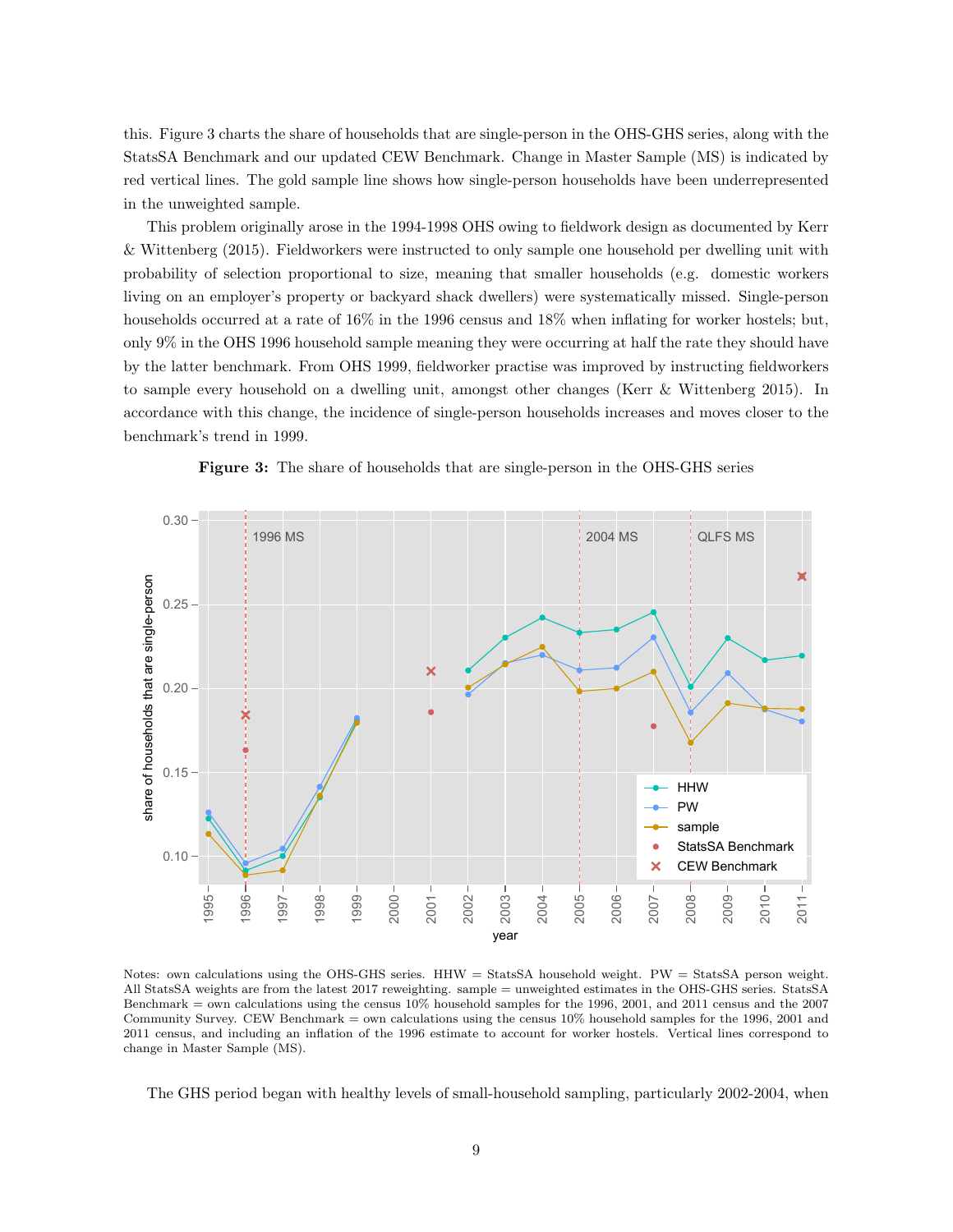this. Figure 3 charts the share of households that are single-person in the OHS-GHS series, along with the StatsSA Benchmark and our updated CEW Benchmark. Change in Master Sample (MS) is indicated by red vertical lines. The gold sample line shows how single-person households have been underrepresented in the unweighted sample.

This problem originally arose in the 1994-1998 OHS owing to fieldwork design as documented by Kerr & Wittenberg (2015). Fieldworkers were instructed to only sample one household per dwelling unit with probability of selection proportional to size, meaning that smaller households (e.g. domestic workers living on an employer's property or backyard shack dwellers) were systematically missed. Single-person households occurred at a rate of  $16\%$  in the 1996 census and 18% when inflating for worker hostels; but, only 9% in the OHS 1996 household sample meaning they were occurring at half the rate they should have by the latter benchmark. From OHS 1999, fieldworker practise was improved by instructing fieldworkers to sample every household on a dwelling unit, amongst other changes (Kerr & Wittenberg 2015). In accordance with this change, the incidence of single-person households increases and moves closer to the benchmark's trend in 1999.



Figure 3: The share of households that are single-person in the OHS-GHS series

Notes: own calculations using the OHS-GHS series. HHW = StatsSA household weight. PW = StatsSA person weight. All StatsSA weights are from the latest 2017 reweighting. sample = unweighted estimates in the OHS-GHS series. StatsSA Benchmark = own calculations using the census 10% household samples for the 1996, 2001, and 2011 census and the 2007 Community Survey. CEW Benchmark = own calculations using the census 10% household samples for the 1996, 2001 and 2011 census, and including an inflation of the 1996 estimate to account for worker hostels. Vertical lines correspond to change in Master Sample (MS).

The GHS period began with healthy levels of small-household sampling, particularly 2002-2004, when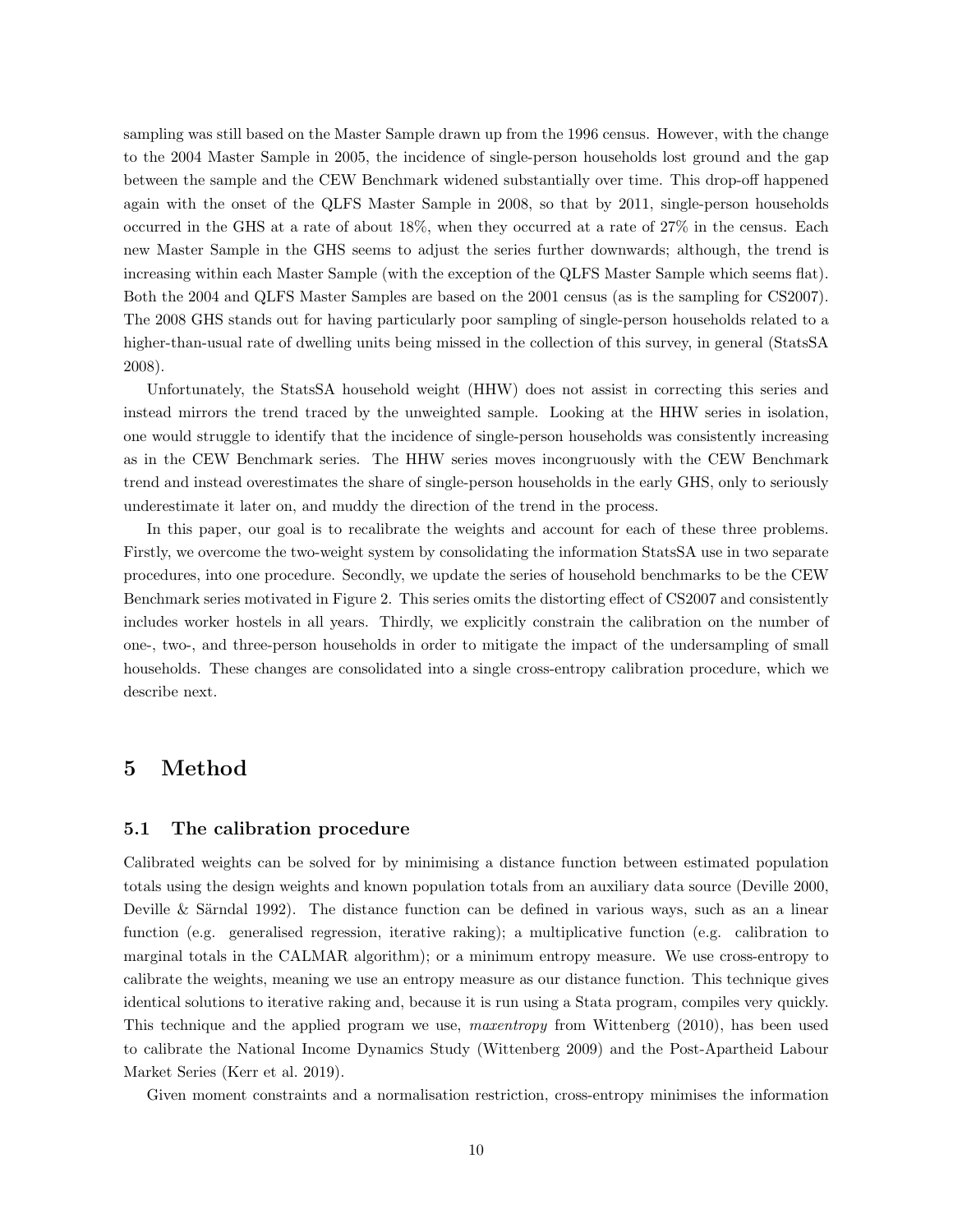sampling was still based on the Master Sample drawn up from the 1996 census. However, with the change to the 2004 Master Sample in 2005, the incidence of single-person households lost ground and the gap between the sample and the CEW Benchmark widened substantially over time. This drop-off happened again with the onset of the QLFS Master Sample in 2008, so that by 2011, single-person households occurred in the GHS at a rate of about 18%, when they occurred at a rate of 27% in the census. Each new Master Sample in the GHS seems to adjust the series further downwards; although, the trend is increasing within each Master Sample (with the exception of the QLFS Master Sample which seems flat). Both the 2004 and QLFS Master Samples are based on the 2001 census (as is the sampling for CS2007). The 2008 GHS stands out for having particularly poor sampling of single-person households related to a higher-than-usual rate of dwelling units being missed in the collection of this survey, in general (StatsSA 2008).

Unfortunately, the StatsSA household weight (HHW) does not assist in correcting this series and instead mirrors the trend traced by the unweighted sample. Looking at the HHW series in isolation, one would struggle to identify that the incidence of single-person households was consistently increasing as in the CEW Benchmark series. The HHW series moves incongruously with the CEW Benchmark trend and instead overestimates the share of single-person households in the early GHS, only to seriously underestimate it later on, and muddy the direction of the trend in the process.

In this paper, our goal is to recalibrate the weights and account for each of these three problems. Firstly, we overcome the two-weight system by consolidating the information StatsSA use in two separate procedures, into one procedure. Secondly, we update the series of household benchmarks to be the CEW Benchmark series motivated in Figure 2. This series omits the distorting effect of CS2007 and consistently includes worker hostels in all years. Thirdly, we explicitly constrain the calibration on the number of one-, two-, and three-person households in order to mitigate the impact of the undersampling of small households. These changes are consolidated into a single cross-entropy calibration procedure, which we describe next.

## 5 Method

#### 5.1 The calibration procedure

Calibrated weights can be solved for by minimising a distance function between estimated population totals using the design weights and known population totals from an auxiliary data source (Deville 2000, Deville & Särndal 1992). The distance function can be defined in various ways, such as an a linear function (e.g. generalised regression, iterative raking); a multiplicative function (e.g. calibration to marginal totals in the CALMAR algorithm); or a minimum entropy measure. We use cross-entropy to calibrate the weights, meaning we use an entropy measure as our distance function. This technique gives identical solutions to iterative raking and, because it is run using a Stata program, compiles very quickly. This technique and the applied program we use, maxentropy from Wittenberg (2010), has been used to calibrate the National Income Dynamics Study (Wittenberg 2009) and the Post-Apartheid Labour Market Series (Kerr et al. 2019).

Given moment constraints and a normalisation restriction, cross-entropy minimises the information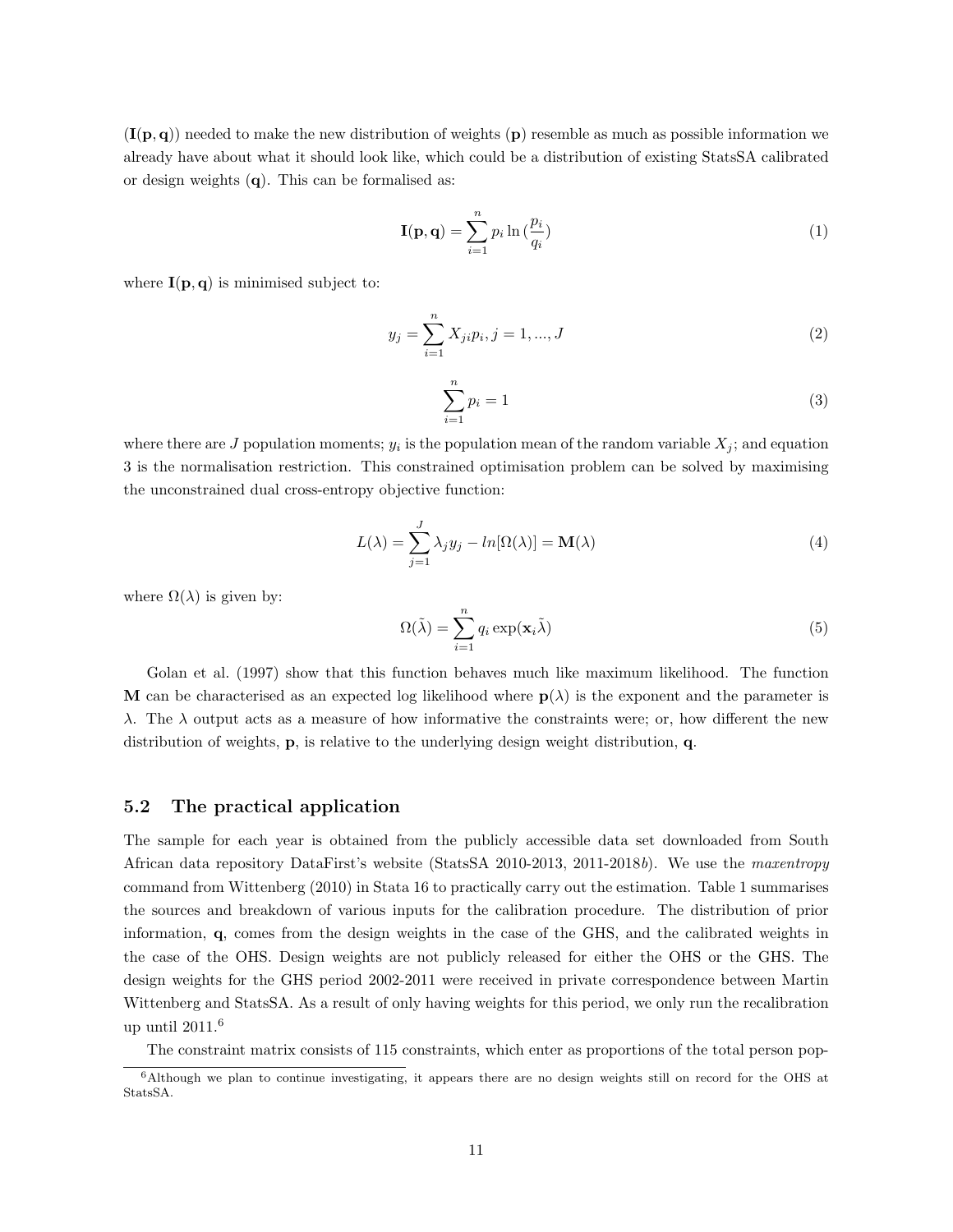$(I(p,q))$  needed to make the new distribution of weights (p) resemble as much as possible information we already have about what it should look like, which could be a distribution of existing StatsSA calibrated or design weights (q). This can be formalised as:

$$
\mathbf{I}(\mathbf{p}, \mathbf{q}) = \sum_{i=1}^{n} p_i \ln \left( \frac{p_i}{q_i} \right) \tag{1}
$$

where  $I(p,q)$  is minimised subject to:

$$
y_j = \sum_{i=1}^{n} X_{ji} p_i, j = 1, ..., J
$$
 (2)

$$
\sum_{i=1}^{n} p_i = 1\tag{3}
$$

where there are J population moments;  $y_i$  is the population mean of the random variable  $X_j$ ; and equation 3 is the normalisation restriction. This constrained optimisation problem can be solved by maximising the unconstrained dual cross-entropy objective function:

$$
L(\lambda) = \sum_{j=1}^{J} \lambda_j y_j - ln[\Omega(\lambda)] = \mathbf{M}(\lambda)
$$
\n(4)

where  $\Omega(\lambda)$  is given by:

$$
\Omega(\tilde{\lambda}) = \sum_{i=1}^{n} q_i \exp(\mathbf{x}_i \tilde{\lambda})
$$
\n(5)

Golan et al. (1997) show that this function behaves much like maximum likelihood. The function M can be characterised as an expected log likelihood where  $p(\lambda)$  is the exponent and the parameter is λ. The λ output acts as a measure of how informative the constraints were; or, how different the new distribution of weights, p, is relative to the underlying design weight distribution, q.

#### 5.2 The practical application

The sample for each year is obtained from the publicly accessible data set downloaded from South African data repository DataFirst's website (StatsSA 2010-2013, 2011-2018b). We use the maxentropy command from Wittenberg (2010) in Stata 16 to practically carry out the estimation. Table 1 summarises the sources and breakdown of various inputs for the calibration procedure. The distribution of prior information, q, comes from the design weights in the case of the GHS, and the calibrated weights in the case of the OHS. Design weights are not publicly released for either the OHS or the GHS. The design weights for the GHS period 2002-2011 were received in private correspondence between Martin Wittenberg and StatsSA. As a result of only having weights for this period, we only run the recalibration up until  $2011<sup>6</sup>$ 

The constraint matrix consists of 115 constraints, which enter as proportions of the total person pop-

<sup>6</sup>Although we plan to continue investigating, it appears there are no design weights still on record for the OHS at StatsSA.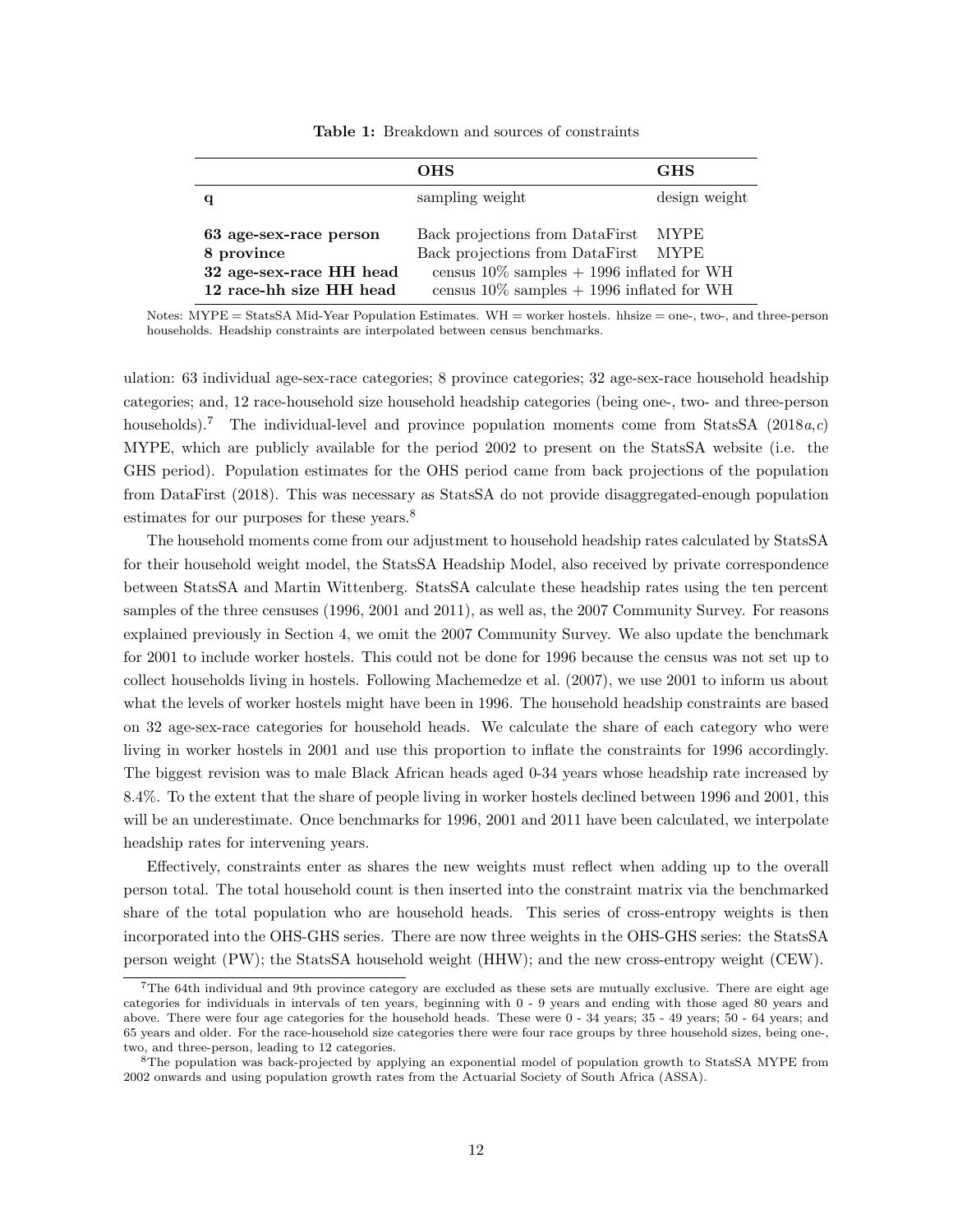Table 1: Breakdown and sources of constraints

|                                                                                            | <b>OHS</b>                                                                                                                                                             | <b>GHS</b>    |
|--------------------------------------------------------------------------------------------|------------------------------------------------------------------------------------------------------------------------------------------------------------------------|---------------|
| q                                                                                          | sampling weight                                                                                                                                                        | design weight |
| 63 age-sex-race person<br>8 province<br>32 age-sex-race HH head<br>12 race-hh size HH head | Back projections from DataFirst<br>Back projections from DataFirst<br>census $10\%$ samples $+$ 1996 inflated for WH<br>census $10\%$ samples $+$ 1996 inflated for WH | MYPE<br>MYPE  |

Notes: MYPE = StatsSA Mid-Year Population Estimates. WH = worker hostels. hhsize = one-, two-, and three-person households. Headship constraints are interpolated between census benchmarks.

ulation: 63 individual age-sex-race categories; 8 province categories; 32 age-sex-race household headship categories; and, 12 race-household size household headship categories (being one-, two- and three-person households).<sup>7</sup> The individual-level and province population moments come from StatsSA (2018a,c) MYPE, which are publicly available for the period 2002 to present on the StatsSA website (i.e. the GHS period). Population estimates for the OHS period came from back projections of the population from DataFirst (2018). This was necessary as StatsSA do not provide disaggregated-enough population estimates for our purposes for these years.<sup>8</sup>

The household moments come from our adjustment to household headship rates calculated by StatsSA for their household weight model, the StatsSA Headship Model, also received by private correspondence between StatsSA and Martin Wittenberg. StatsSA calculate these headship rates using the ten percent samples of the three censuses (1996, 2001 and 2011), as well as, the 2007 Community Survey. For reasons explained previously in Section 4, we omit the 2007 Community Survey. We also update the benchmark for 2001 to include worker hostels. This could not be done for 1996 because the census was not set up to collect households living in hostels. Following Machemedze et al. (2007), we use 2001 to inform us about what the levels of worker hostels might have been in 1996. The household headship constraints are based on 32 age-sex-race categories for household heads. We calculate the share of each category who were living in worker hostels in 2001 and use this proportion to inflate the constraints for 1996 accordingly. The biggest revision was to male Black African heads aged 0-34 years whose headship rate increased by 8.4%. To the extent that the share of people living in worker hostels declined between 1996 and 2001, this will be an underestimate. Once benchmarks for 1996, 2001 and 2011 have been calculated, we interpolate headship rates for intervening years.

Effectively, constraints enter as shares the new weights must reflect when adding up to the overall person total. The total household count is then inserted into the constraint matrix via the benchmarked share of the total population who are household heads. This series of cross-entropy weights is then incorporated into the OHS-GHS series. There are now three weights in the OHS-GHS series: the StatsSA person weight (PW); the StatsSA household weight (HHW); and the new cross-entropy weight (CEW).

<sup>7</sup>The 64th individual and 9th province category are excluded as these sets are mutually exclusive. There are eight age categories for individuals in intervals of ten years, beginning with 0 - 9 years and ending with those aged 80 years and above. There were four age categories for the household heads. These were 0 - 34 years; 35 - 49 years; 50 - 64 years; and 65 years and older. For the race-household size categories there were four race groups by three household sizes, being one-, two, and three-person, leading to 12 categories.

<sup>8</sup>The population was back-projected by applying an exponential model of population growth to StatsSA MYPE from 2002 onwards and using population growth rates from the Actuarial Society of South Africa (ASSA).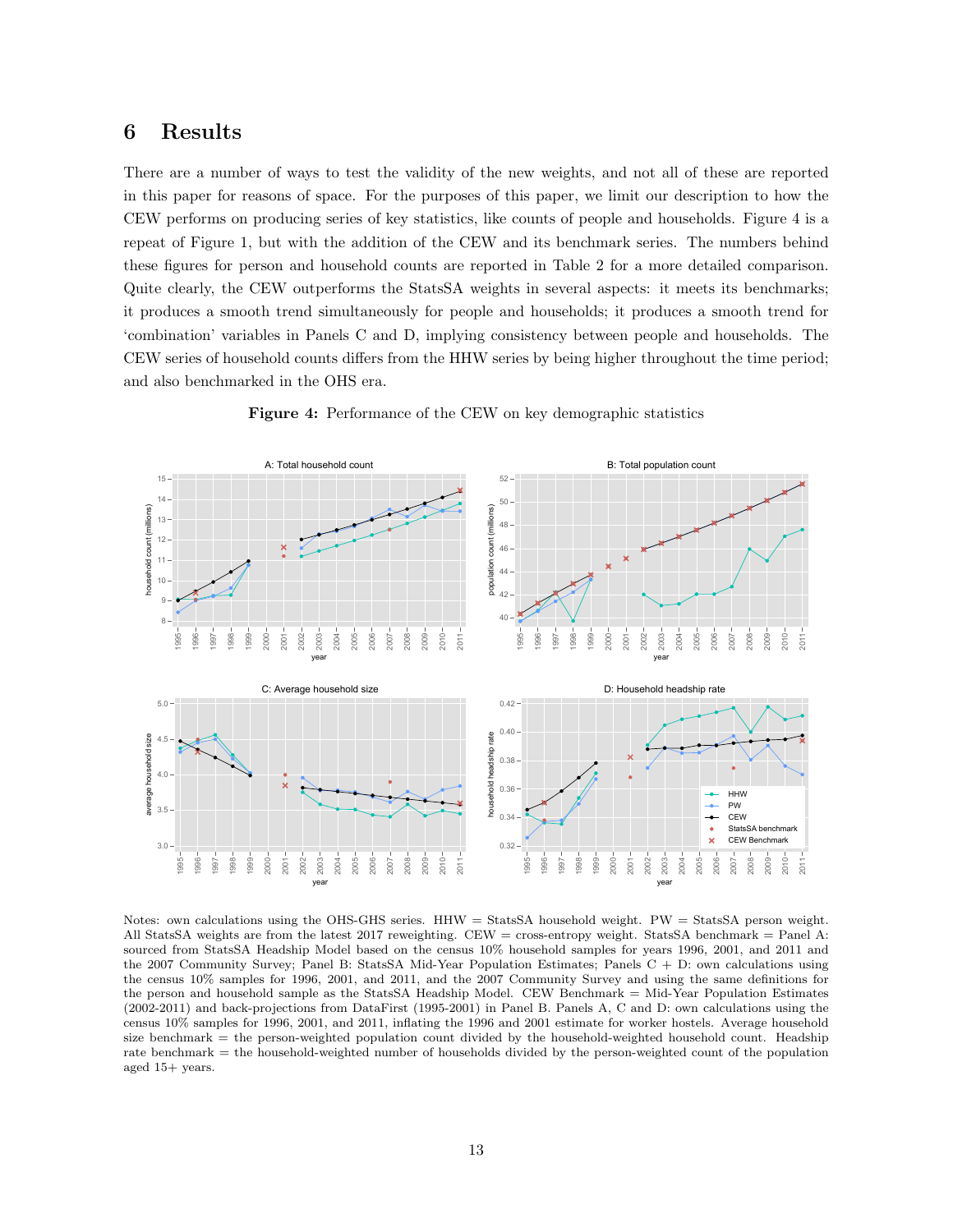## 6 Results

There are a number of ways to test the validity of the new weights, and not all of these are reported in this paper for reasons of space. For the purposes of this paper, we limit our description to how the CEW performs on producing series of key statistics, like counts of people and households. Figure 4 is a repeat of Figure 1, but with the addition of the CEW and its benchmark series. The numbers behind these figures for person and household counts are reported in Table 2 for a more detailed comparison. Quite clearly, the CEW outperforms the StatsSA weights in several aspects: it meets its benchmarks; it produces a smooth trend simultaneously for people and households; it produces a smooth trend for 'combination' variables in Panels C and D, implying consistency between people and households. The CEW series of household counts differs from the HHW series by being higher throughout the time period; and also benchmarked in the OHS era.



Figure 4: Performance of the CEW on key demographic statistics

Notes: own calculations using the OHS-GHS series. HHW = StatsSA household weight. PW = StatsSA person weight. All StatsSA weights are from the latest 2017 reweighting. CEW = cross-entropy weight. StatsSA benchmark = Panel A: sourced from StatsSA Headship Model based on the census 10% household samples for years 1996, 2001, and 2011 and the 2007 Community Survey; Panel B: StatsSA Mid-Year Population Estimates; Panels C + D: own calculations using the census 10% samples for 1996, 2001, and 2011, and the 2007 Community Survey and using the same definitions for the person and household sample as the StatsSA Headship Model. CEW Benchmark = Mid-Year Population Estimates (2002-2011) and back-projections from DataFirst (1995-2001) in Panel B. Panels A, C and D: own calculations using the census 10% samples for 1996, 2001, and 2011, inflating the 1996 and 2001 estimate for worker hostels. Average household size benchmark = the person-weighted population count divided by the household-weighted household count. Headship rate benchmark = the household-weighted number of households divided by the person-weighted count of the population aged 15+ years.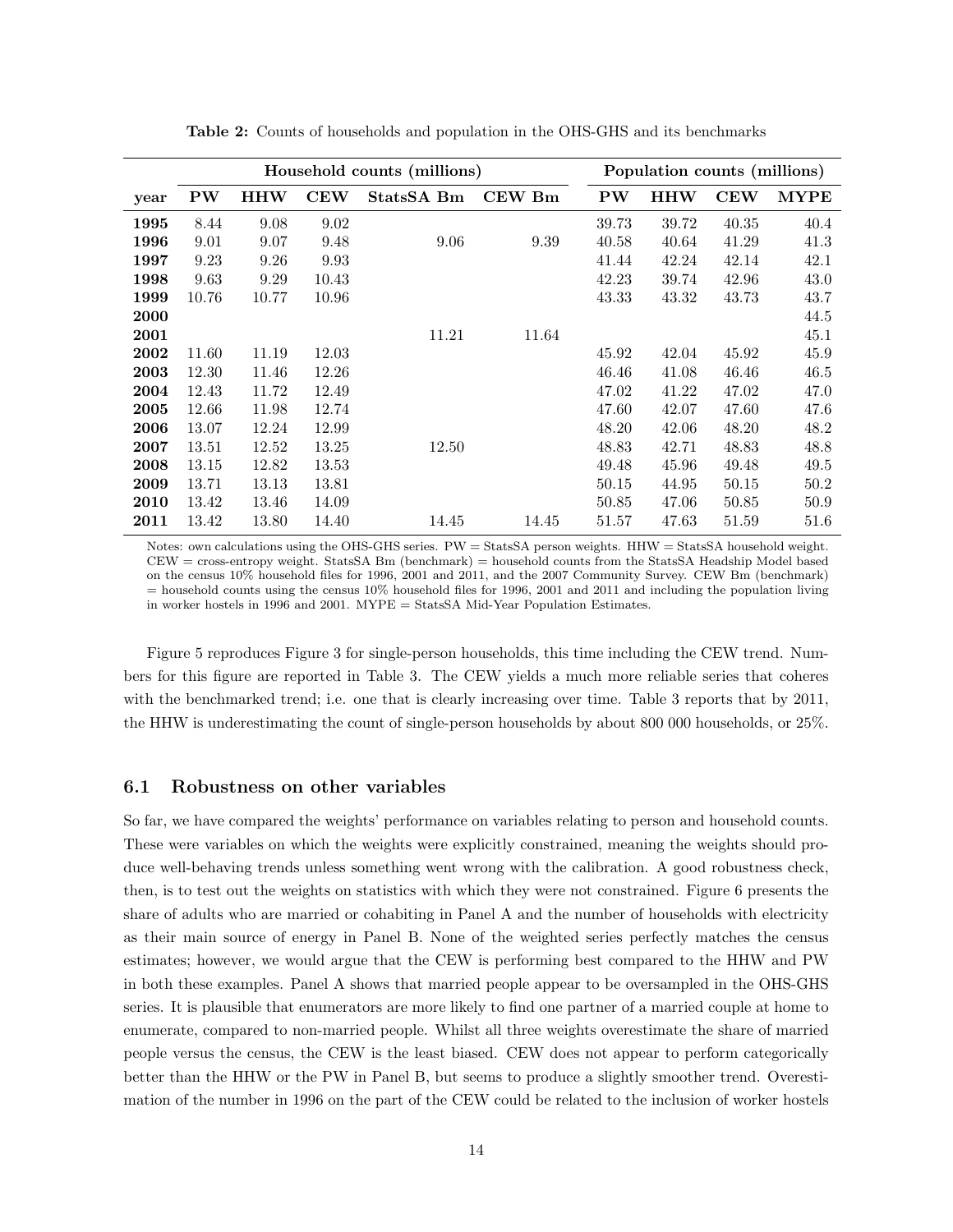|             | Household counts (millions) |            |            |            |        | Population counts (millions) |       |       |             |
|-------------|-----------------------------|------------|------------|------------|--------|------------------------------|-------|-------|-------------|
| year        | <b>PW</b>                   | <b>HHW</b> | <b>CEW</b> | StatsSA Bm | CEW Bm | <b>PW</b>                    | HHW   | CEW   | <b>MYPE</b> |
| 1995        | 8.44                        | 9.08       | 9.02       |            |        | 39.73                        | 39.72 | 40.35 | 40.4        |
| 1996        | 9.01                        | 9.07       | 9.48       | 9.06       | 9.39   | 40.58                        | 40.64 | 41.29 | 41.3        |
| 1997        | 9.23                        | 9.26       | 9.93       |            |        | 41.44                        | 42.24 | 42.14 | 42.1        |
| 1998        | 9.63                        | 9.29       | 10.43      |            |        | 42.23                        | 39.74 | 42.96 | 43.0        |
| 1999        | 10.76                       | 10.77      | 10.96      |            |        | 43.33                        | 43.32 | 43.73 | 43.7        |
| <b>2000</b> |                             |            |            |            |        |                              |       |       | 44.5        |
| 2001        |                             |            |            | 11.21      | 11.64  |                              |       |       | 45.1        |
| 2002        | 11.60                       | 11.19      | 12.03      |            |        | 45.92                        | 42.04 | 45.92 | 45.9        |
| 2003        | 12.30                       | 11.46      | 12.26      |            |        | 46.46                        | 41.08 | 46.46 | 46.5        |
| 2004        | 12.43                       | 11.72      | 12.49      |            |        | 47.02                        | 41.22 | 47.02 | 47.0        |
| 2005        | 12.66                       | 11.98      | 12.74      |            |        | 47.60                        | 42.07 | 47.60 | 47.6        |
| 2006        | 13.07                       | 12.24      | 12.99      |            |        | 48.20                        | 42.06 | 48.20 | 48.2        |
| 2007        | 13.51                       | 12.52      | 13.25      | 12.50      |        | 48.83                        | 42.71 | 48.83 | 48.8        |
| 2008        | 13.15                       | 12.82      | 13.53      |            |        | 49.48                        | 45.96 | 49.48 | 49.5        |
| 2009        | 13.71                       | 13.13      | 13.81      |            |        | 50.15                        | 44.95 | 50.15 | 50.2        |
| 2010        | 13.42                       | 13.46      | 14.09      |            |        | 50.85                        | 47.06 | 50.85 | 50.9        |
| 2011        | 13.42                       | 13.80      | 14.40      | 14.45      | 14.45  | 51.57                        | 47.63 | 51.59 | 51.6        |

Table 2: Counts of households and population in the OHS-GHS and its benchmarks

Notes: own calculations using the OHS-GHS series. PW = StatsSA person weights. HHW = StatsSA household weight. CEW = cross-entropy weight. StatsSA Bm (benchmark) = household counts from the StatsSA Headship Model based on the census 10% household files for 1996, 2001 and 2011, and the 2007 Community Survey. CEW Bm (benchmark) = household counts using the census 10% household files for 1996, 2001 and 2011 and including the population living in worker hostels in 1996 and 2001. MYPE = StatsSA Mid-Year Population Estimates.

Figure 5 reproduces Figure 3 for single-person households, this time including the CEW trend. Numbers for this figure are reported in Table 3. The CEW yields a much more reliable series that coheres with the benchmarked trend; i.e. one that is clearly increasing over time. Table 3 reports that by 2011, the HHW is underestimating the count of single-person households by about 800 000 households, or 25%.

#### 6.1 Robustness on other variables

So far, we have compared the weights' performance on variables relating to person and household counts. These were variables on which the weights were explicitly constrained, meaning the weights should produce well-behaving trends unless something went wrong with the calibration. A good robustness check, then, is to test out the weights on statistics with which they were not constrained. Figure 6 presents the share of adults who are married or cohabiting in Panel A and the number of households with electricity as their main source of energy in Panel B. None of the weighted series perfectly matches the census estimates; however, we would argue that the CEW is performing best compared to the HHW and PW in both these examples. Panel A shows that married people appear to be oversampled in the OHS-GHS series. It is plausible that enumerators are more likely to find one partner of a married couple at home to enumerate, compared to non-married people. Whilst all three weights overestimate the share of married people versus the census, the CEW is the least biased. CEW does not appear to perform categorically better than the HHW or the PW in Panel B, but seems to produce a slightly smoother trend. Overestimation of the number in 1996 on the part of the CEW could be related to the inclusion of worker hostels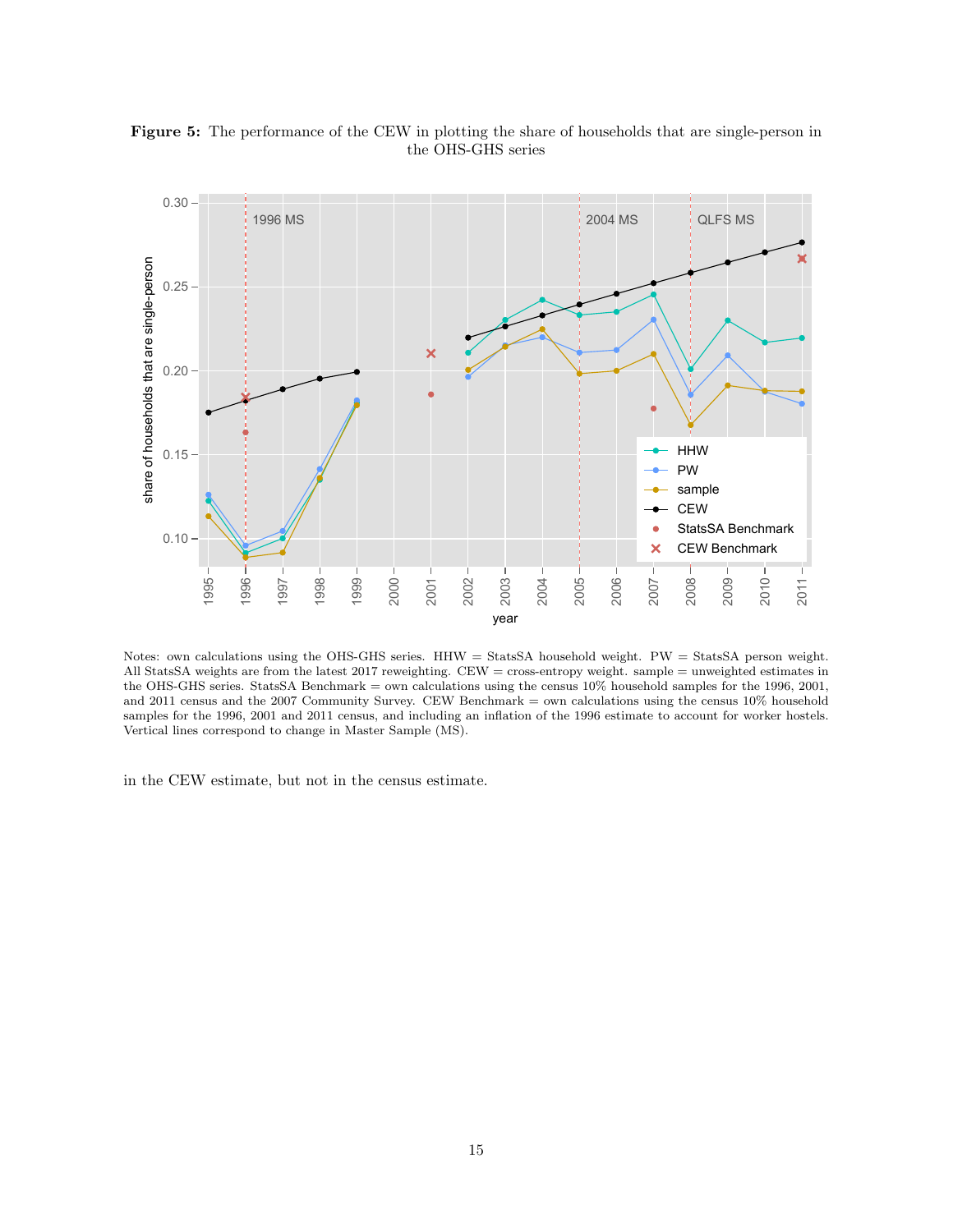

Figure 5: The performance of the CEW in plotting the share of households that are single-person in the OHS-GHS series

Notes: own calculations using the OHS-GHS series. HHW = StatsSA household weight. PW = StatsSA person weight. All StatsSA weights are from the latest 2017 reweighting. CEW = cross-entropy weight. sample = unweighted estimates in the OHS-GHS series. StatsSA Benchmark = own calculations using the census 10% household samples for the 1996, 2001, and 2011 census and the 2007 Community Survey. CEW Benchmark = own calculations using the census 10% household samples for the 1996, 2001 and 2011 census, and including an inflation of the 1996 estimate to account for worker hostels. Vertical lines correspond to change in Master Sample (MS).

in the CEW estimate, but not in the census estimate.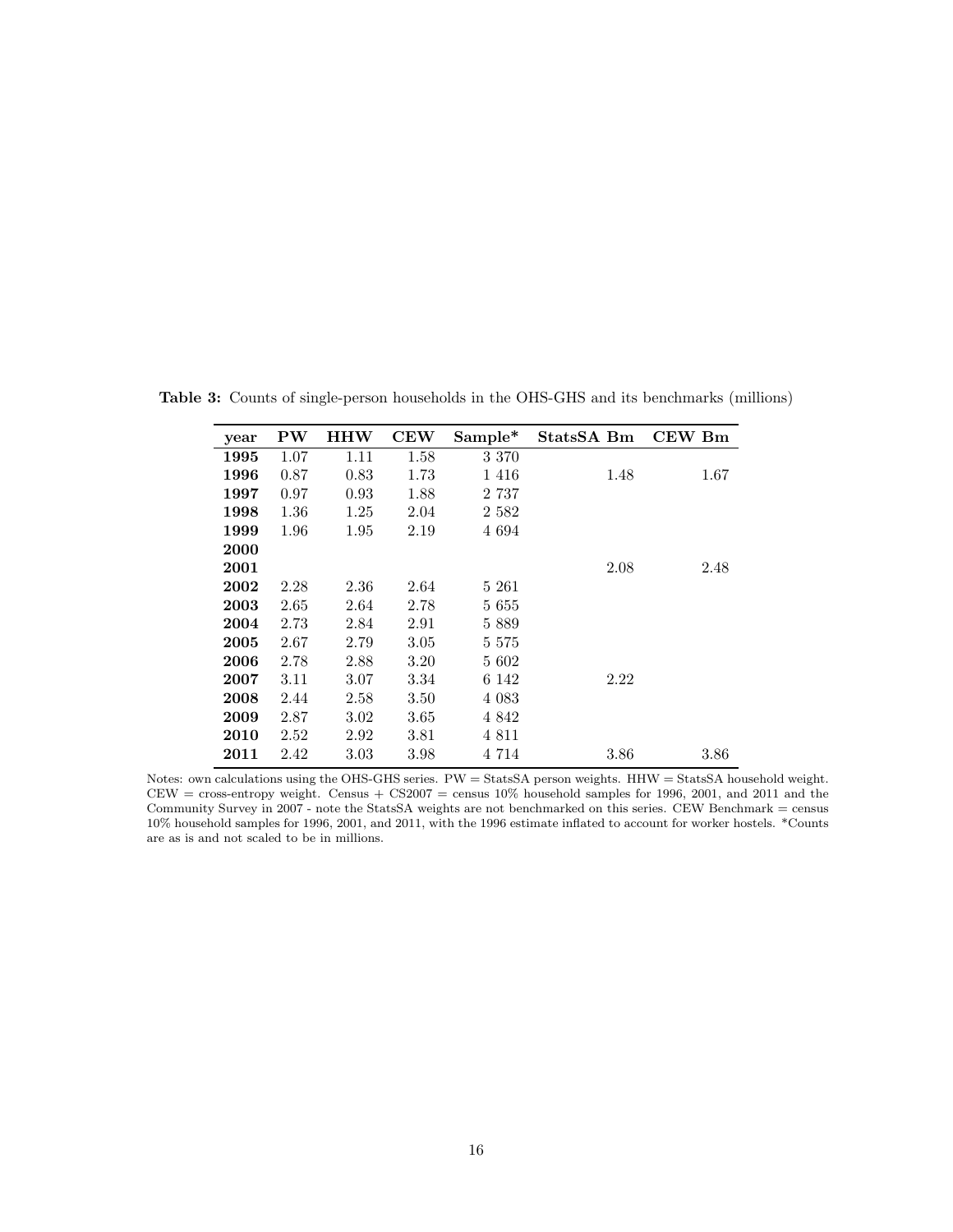| year | ${\bf PW}$ | <b>HHW</b> | <b>CEW</b> | Sample* | StatsSA Bm | <b>CEW Bm</b> |
|------|------------|------------|------------|---------|------------|---------------|
| 1995 | 1.07       | 1.11       | 1.58       | 3 3 7 0 |            |               |
| 1996 | 0.87       | 0.83       | 1.73       | 1416    | 1.48       | 1.67          |
| 1997 | 0.97       | 0.93       | 1.88       | 2 7 3 7 |            |               |
| 1998 | 1.36       | 1.25       | 2.04       | 2 582   |            |               |
| 1999 | 1.96       | 1.95       | 2.19       | 4 6 9 4 |            |               |
| 2000 |            |            |            |         |            |               |
| 2001 |            |            |            |         | 2.08       | 2.48          |
| 2002 | 2.28       | 2.36       | 2.64       | 5 261   |            |               |
| 2003 | 2.65       | 2.64       | 2.78       | 5 655   |            |               |
| 2004 | 2.73       | 2.84       | 2.91       | 5889    |            |               |
| 2005 | 2.67       | 2.79       | 3.05       | 5 5 7 5 |            |               |
| 2006 | 2.78       | 2.88       | 3.20       | 5 602   |            |               |
| 2007 | 3.11       | 3.07       | 3.34       | 6 142   | 2.22       |               |
| 2008 | 2.44       | 2.58       | 3.50       | 4 0 8 3 |            |               |
| 2009 | 2.87       | 3.02       | 3.65       | 4 842   |            |               |
| 2010 | 2.52       | 2.92       | 3.81       | 4 8 1 1 |            |               |
| 2011 | 2.42       | 3.03       | 3.98       | 4 7 1 4 | 3.86       | 3.86          |

Table 3: Counts of single-person households in the OHS-GHS and its benchmarks (millions)

Notes: own calculations using the OHS-GHS series. PW = StatsSA person weights. HHW = StatsSA household weight.  $CEW = cross-entropy weight.$  Census +  $CS2007 =$  census  $10\%$  household samples for 1996, 2001, and 2011 and the Community Survey in 2007 - note the StatsSA weights are not benchmarked on this series. CEW Benchmark = census 10% household samples for 1996, 2001, and 2011, with the 1996 estimate inflated to account for worker hostels. \*Counts are as is and not scaled to be in millions.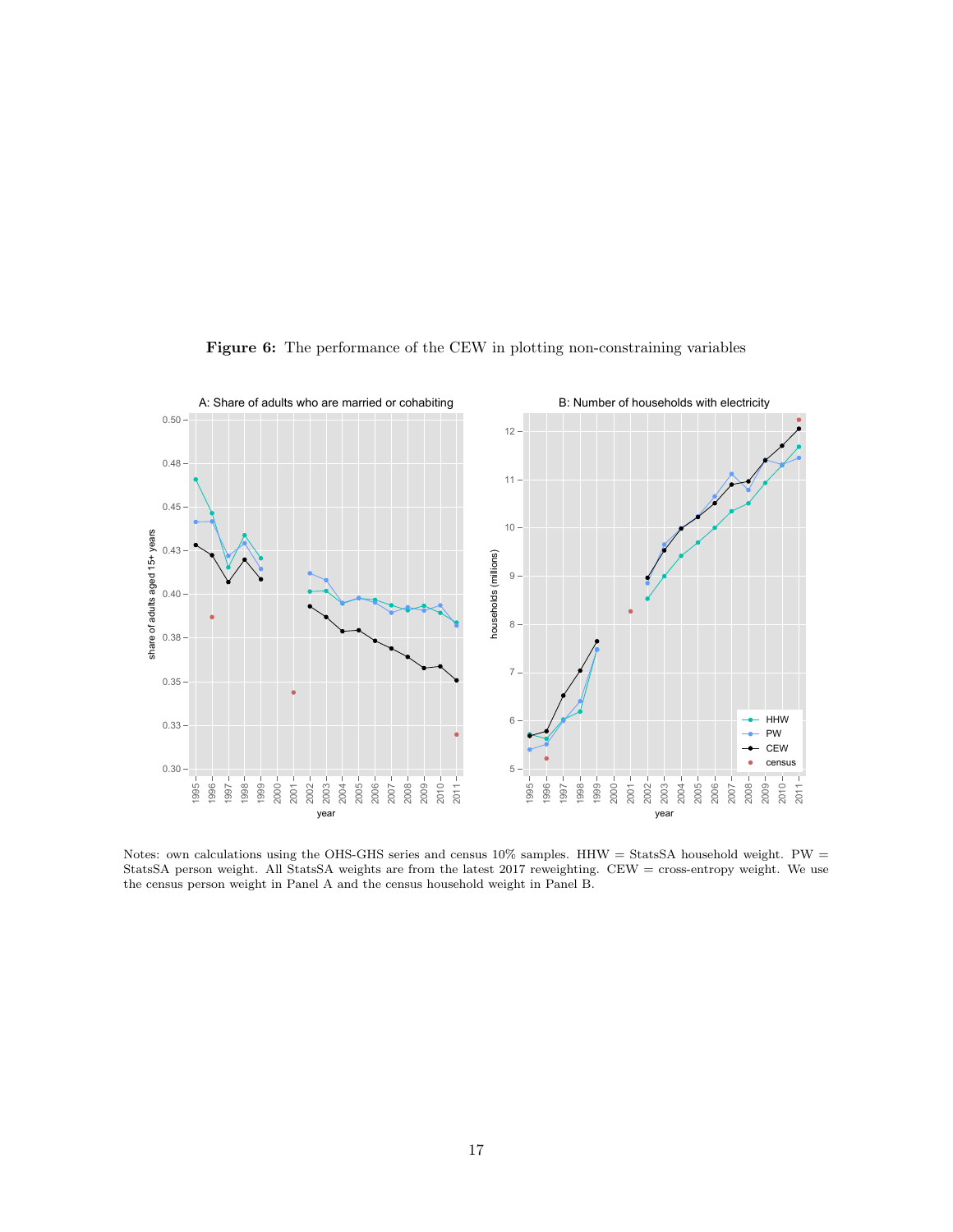

Figure 6: The performance of the CEW in plotting non-constraining variables

Notes: own calculations using the OHS-GHS series and census  $10\%$  samples. HHW = StatsSA household weight. PW = StatsSA person weight. All StatsSA weights are from the latest 2017 reweighting. CEW = cross-entropy weight. We use the census person weight in Panel A and the census household weight in Panel B.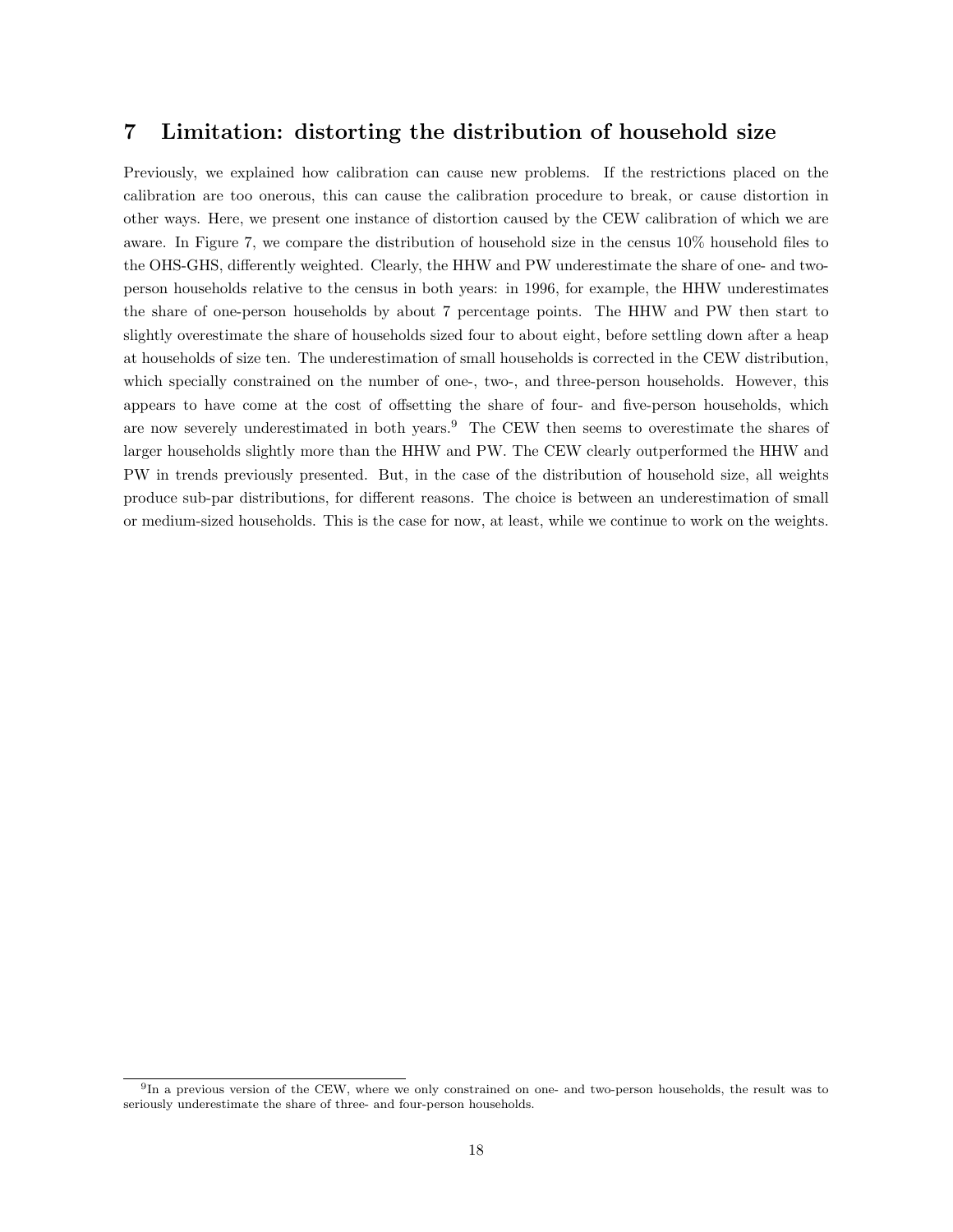## 7 Limitation: distorting the distribution of household size

Previously, we explained how calibration can cause new problems. If the restrictions placed on the calibration are too onerous, this can cause the calibration procedure to break, or cause distortion in other ways. Here, we present one instance of distortion caused by the CEW calibration of which we are aware. In Figure 7, we compare the distribution of household size in the census 10% household files to the OHS-GHS, differently weighted. Clearly, the HHW and PW underestimate the share of one- and twoperson households relative to the census in both years: in 1996, for example, the HHW underestimates the share of one-person households by about 7 percentage points. The HHW and PW then start to slightly overestimate the share of households sized four to about eight, before settling down after a heap at households of size ten. The underestimation of small households is corrected in the CEW distribution, which specially constrained on the number of one-, two-, and three-person households. However, this appears to have come at the cost of offsetting the share of four- and five-person households, which are now severely underestimated in both years.<sup>9</sup> The CEW then seems to overestimate the shares of larger households slightly more than the HHW and PW. The CEW clearly outperformed the HHW and PW in trends previously presented. But, in the case of the distribution of household size, all weights produce sub-par distributions, for different reasons. The choice is between an underestimation of small or medium-sized households. This is the case for now, at least, while we continue to work on the weights.

<sup>&</sup>lt;sup>9</sup>In a previous version of the CEW, where we only constrained on one- and two-person households, the result was to seriously underestimate the share of three- and four-person households.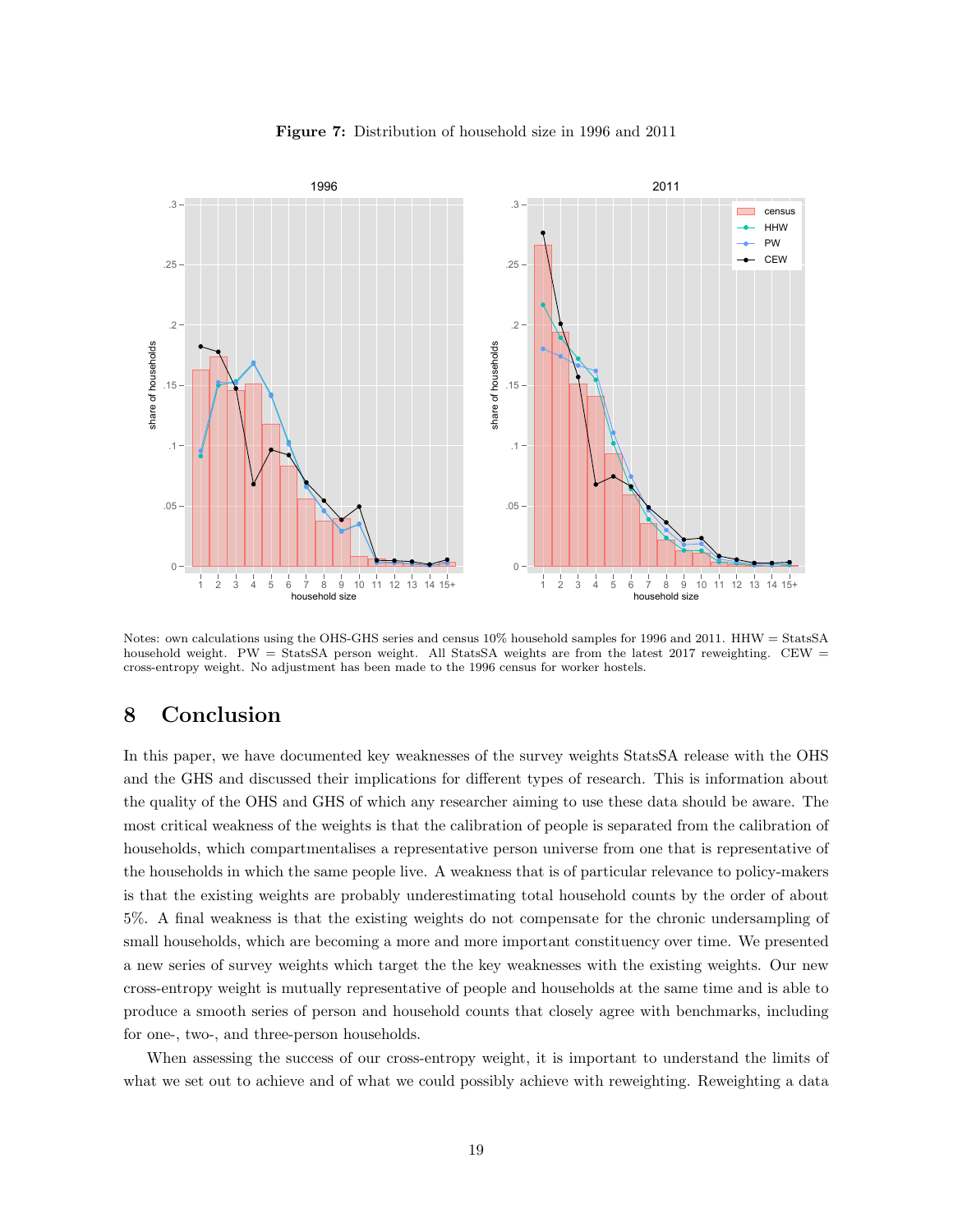

Figure 7: Distribution of household size in 1996 and 2011

Notes: own calculations using the OHS-GHS series and census 10% household samples for 1996 and 2011. HHW = StatsSA household weight. PW = StatsSA person weight. All StatsSA weights are from the latest 2017 reweighting. CEW = cross-entropy weight. No adjustment has been made to the 1996 census for worker hostels.

## 8 Conclusion

In this paper, we have documented key weaknesses of the survey weights StatsSA release with the OHS and the GHS and discussed their implications for different types of research. This is information about the quality of the OHS and GHS of which any researcher aiming to use these data should be aware. The most critical weakness of the weights is that the calibration of people is separated from the calibration of households, which compartmentalises a representative person universe from one that is representative of the households in which the same people live. A weakness that is of particular relevance to policy-makers is that the existing weights are probably underestimating total household counts by the order of about 5%. A final weakness is that the existing weights do not compensate for the chronic undersampling of small households, which are becoming a more and more important constituency over time. We presented a new series of survey weights which target the the key weaknesses with the existing weights. Our new cross-entropy weight is mutually representative of people and households at the same time and is able to produce a smooth series of person and household counts that closely agree with benchmarks, including for one-, two-, and three-person households.

When assessing the success of our cross-entropy weight, it is important to understand the limits of what we set out to achieve and of what we could possibly achieve with reweighting. Reweighting a data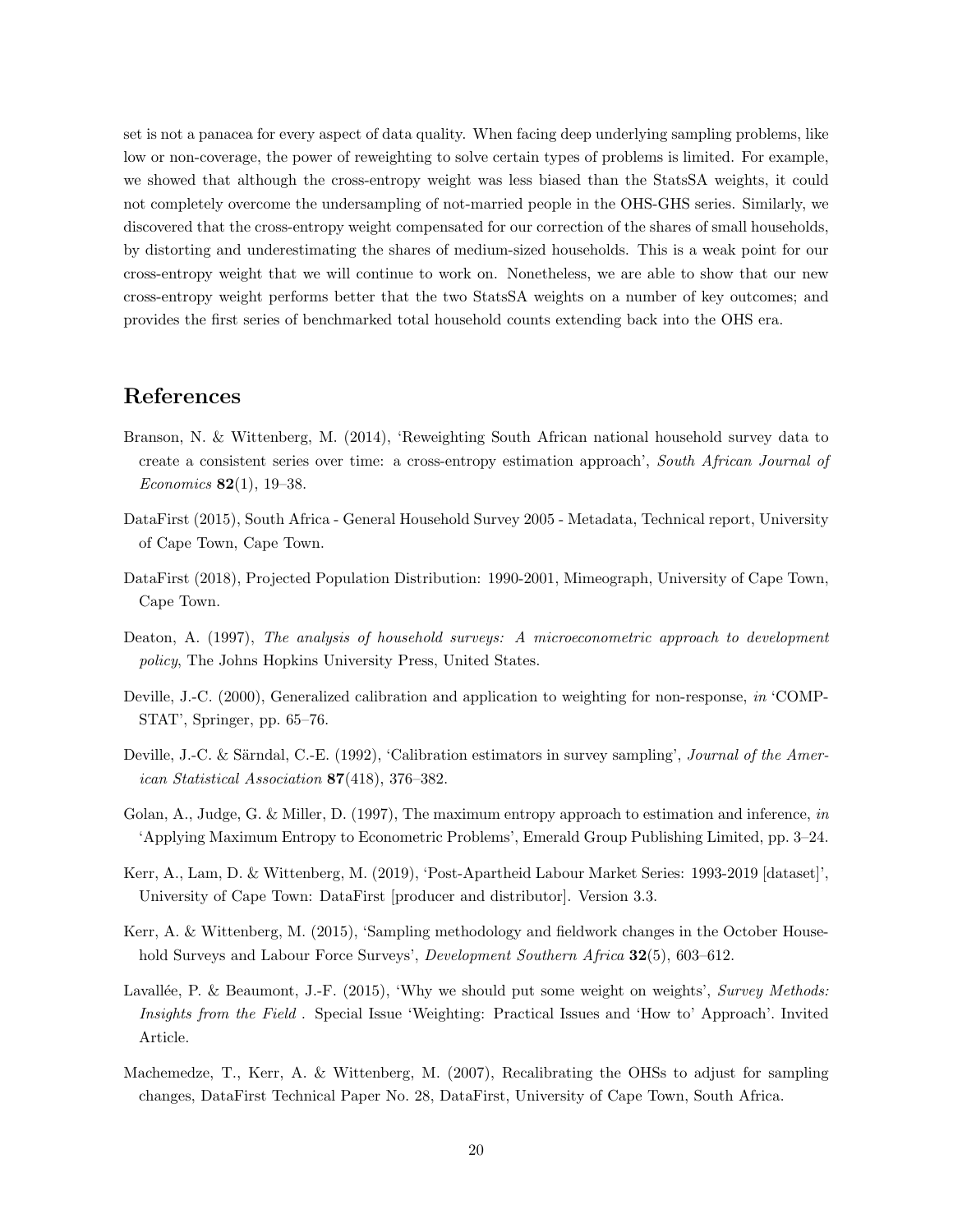set is not a panacea for every aspect of data quality. When facing deep underlying sampling problems, like low or non-coverage, the power of reweighting to solve certain types of problems is limited. For example, we showed that although the cross-entropy weight was less biased than the StatsSA weights, it could not completely overcome the undersampling of not-married people in the OHS-GHS series. Similarly, we discovered that the cross-entropy weight compensated for our correction of the shares of small households, by distorting and underestimating the shares of medium-sized households. This is a weak point for our cross-entropy weight that we will continue to work on. Nonetheless, we are able to show that our new cross-entropy weight performs better that the two StatsSA weights on a number of key outcomes; and provides the first series of benchmarked total household counts extending back into the OHS era.

## References

- Branson, N. & Wittenberg, M. (2014), 'Reweighting South African national household survey data to create a consistent series over time: a cross-entropy estimation approach', South African Journal of Economics  $82(1)$ , 19-38.
- DataFirst (2015), South Africa General Household Survey 2005 Metadata, Technical report, University of Cape Town, Cape Town.
- DataFirst (2018), Projected Population Distribution: 1990-2001, Mimeograph, University of Cape Town, Cape Town.
- Deaton, A. (1997), The analysis of household surveys: A microeconometric approach to development policy, The Johns Hopkins University Press, United States.
- Deville, J.-C. (2000), Generalized calibration and application to weighting for non-response, in 'COMP-STAT', Springer, pp. 65–76.
- Deville, J.-C. & Särndal, C.-E. (1992), 'Calibration estimators in survey sampling', *Journal of the Amer*ican Statistical Association 87(418), 376–382.
- Golan, A., Judge, G. & Miller, D. (1997), The maximum entropy approach to estimation and inference, in 'Applying Maximum Entropy to Econometric Problems', Emerald Group Publishing Limited, pp. 3–24.
- Kerr, A., Lam, D. & Wittenberg, M. (2019), 'Post-Apartheid Labour Market Series: 1993-2019 [dataset]', University of Cape Town: DataFirst [producer and distributor]. Version 3.3.
- Kerr, A. & Wittenberg, M. (2015), 'Sampling methodology and fieldwork changes in the October Household Surveys and Labour Force Surveys', *Development Southern Africa* 32(5), 603–612.
- Lavallée, P. & Beaumont, J.-F. (2015), 'Why we should put some weight on weights', Survey Methods: Insights from the Field . Special Issue 'Weighting: Practical Issues and 'How to' Approach'. Invited Article.
- Machemedze, T., Kerr, A. & Wittenberg, M. (2007), Recalibrating the OHSs to adjust for sampling changes, DataFirst Technical Paper No. 28, DataFirst, University of Cape Town, South Africa.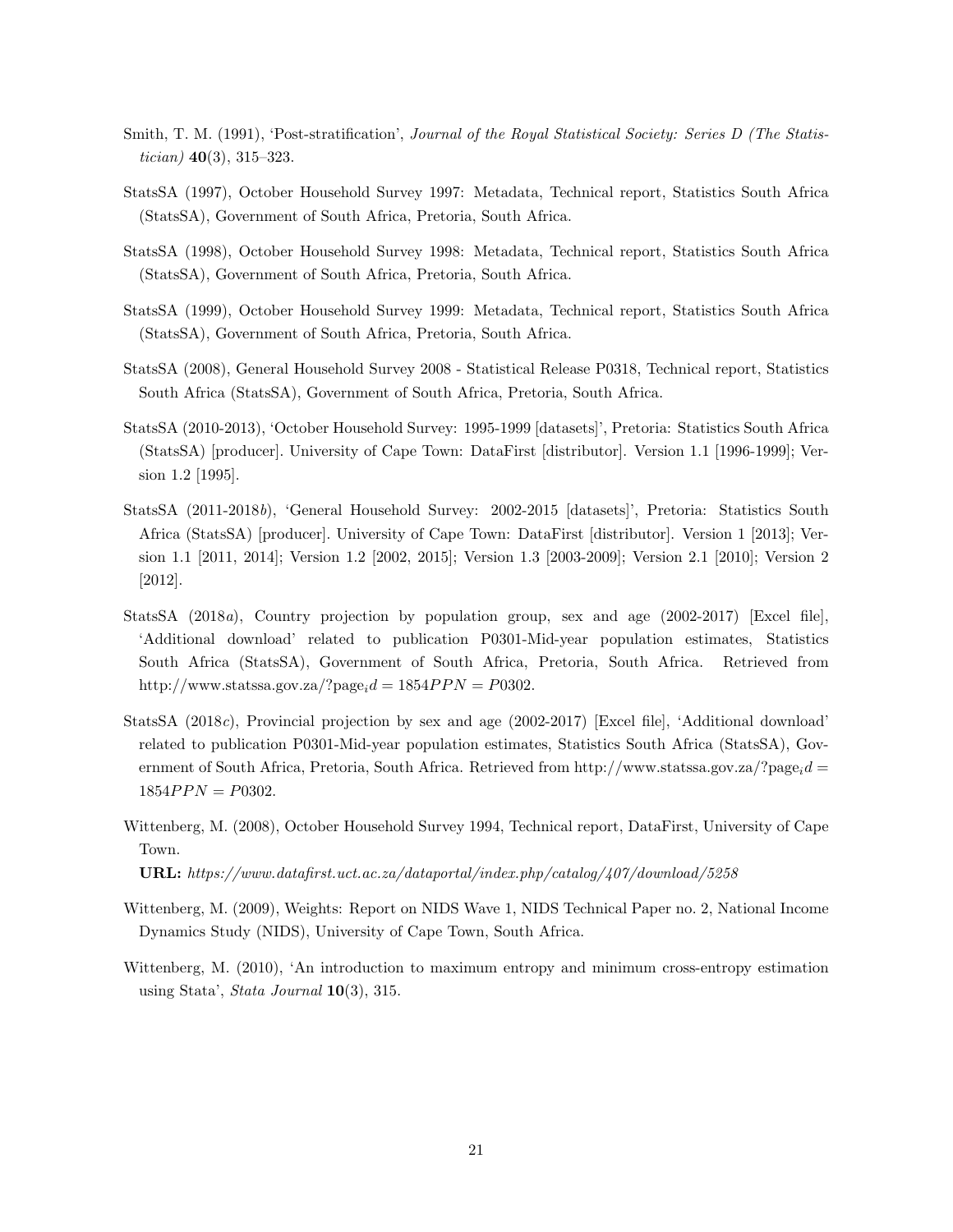- Smith, T. M. (1991), 'Post-stratification', Journal of the Royal Statistical Society: Series D (The Statistician)  $40(3)$ ,  $315-323$ .
- StatsSA (1997), October Household Survey 1997: Metadata, Technical report, Statistics South Africa (StatsSA), Government of South Africa, Pretoria, South Africa.
- StatsSA (1998), October Household Survey 1998: Metadata, Technical report, Statistics South Africa (StatsSA), Government of South Africa, Pretoria, South Africa.
- StatsSA (1999), October Household Survey 1999: Metadata, Technical report, Statistics South Africa (StatsSA), Government of South Africa, Pretoria, South Africa.
- StatsSA (2008), General Household Survey 2008 Statistical Release P0318, Technical report, Statistics South Africa (StatsSA), Government of South Africa, Pretoria, South Africa.
- StatsSA (2010-2013), 'October Household Survey: 1995-1999 [datasets]', Pretoria: Statistics South Africa (StatsSA) [producer]. University of Cape Town: DataFirst [distributor]. Version 1.1 [1996-1999]; Version 1.2 [1995].
- StatsSA (2011-2018b), 'General Household Survey: 2002-2015 [datasets]', Pretoria: Statistics South Africa (StatsSA) [producer]. University of Cape Town: DataFirst [distributor]. Version 1 [2013]; Version 1.1 [2011, 2014]; Version 1.2 [2002, 2015]; Version 1.3 [2003-2009]; Version 2.1 [2010]; Version 2 [2012].
- StatsSA (2018a), Country projection by population group, sex and age (2002-2017) [Excel file], 'Additional download' related to publication P0301-Mid-year population estimates, Statistics South Africa (StatsSA), Government of South Africa, Pretoria, South Africa. Retrieved from http://www.statssa.gov.za/?page<sub>i</sub> $d = 1854PPN = P0302$ .
- StatsSA (2018c), Provincial projection by sex and age (2002-2017) [Excel file], 'Additional download' related to publication P0301-Mid-year population estimates, Statistics South Africa (StatsSA), Government of South Africa, Pretoria, South Africa. Retrieved from http://www.statssa.gov.za/?page $id =$  $1854 PPN = P0302.$
- Wittenberg, M. (2008), October Household Survey 1994, Technical report, DataFirst, University of Cape Town.

URL: https://www.datafirst.uct.ac.za/dataportal/index.php/catalog/407/download/5258

- Wittenberg, M. (2009), Weights: Report on NIDS Wave 1, NIDS Technical Paper no. 2, National Income Dynamics Study (NIDS), University of Cape Town, South Africa.
- Wittenberg, M. (2010), 'An introduction to maximum entropy and minimum cross-entropy estimation using Stata', Stata Journal  $10(3)$ , 315.